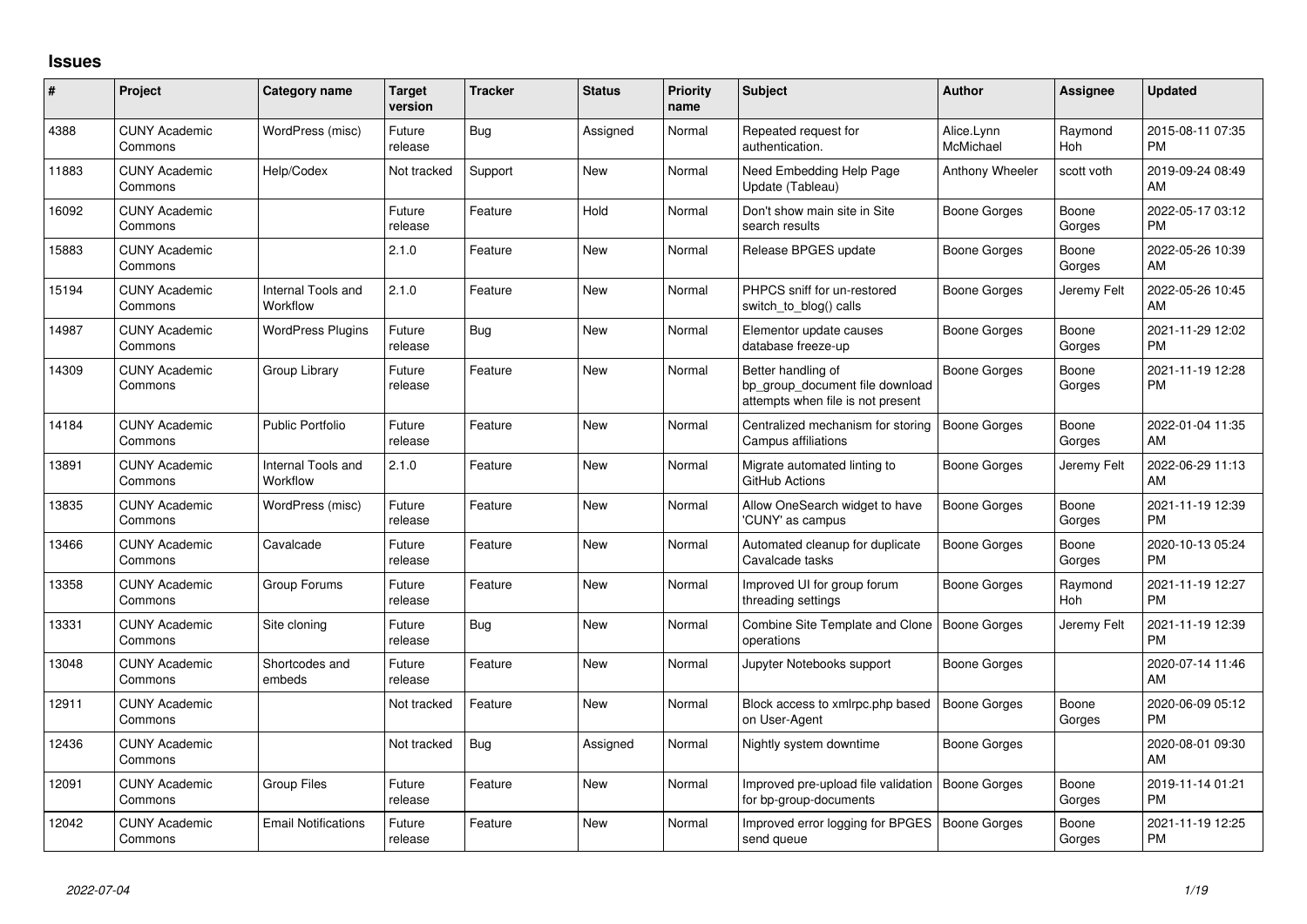## **Issues**

| #     | Project                         | <b>Category name</b>           | <b>Target</b><br>version | <b>Tracker</b> | <b>Status</b> | <b>Priority</b><br>name | <b>Subject</b>                                                                             | <b>Author</b>           | Assignee        | <b>Updated</b>                |
|-------|---------------------------------|--------------------------------|--------------------------|----------------|---------------|-------------------------|--------------------------------------------------------------------------------------------|-------------------------|-----------------|-------------------------------|
| 4388  | <b>CUNY Academic</b><br>Commons | WordPress (misc)               | Future<br>release        | Bug            | Assigned      | Normal                  | Repeated request for<br>authentication.                                                    | Alice.Lynn<br>McMichael | Raymond<br>Hoh  | 2015-08-11 07:35<br><b>PM</b> |
| 11883 | <b>CUNY Academic</b><br>Commons | Help/Codex                     | Not tracked              | Support        | New           | Normal                  | Need Embedding Help Page<br>Update (Tableau)                                               | Anthony Wheeler         | scott voth      | 2019-09-24 08:49<br>AM        |
| 16092 | <b>CUNY Academic</b><br>Commons |                                | Future<br>release        | Feature        | Hold          | Normal                  | Don't show main site in Site<br>search results                                             | Boone Gorges            | Boone<br>Gorges | 2022-05-17 03:12<br><b>PM</b> |
| 15883 | <b>CUNY Academic</b><br>Commons |                                | 2.1.0                    | Feature        | New           | Normal                  | Release BPGES update                                                                       | Boone Gorges            | Boone<br>Gorges | 2022-05-26 10:39<br>AM        |
| 15194 | <b>CUNY Academic</b><br>Commons | Internal Tools and<br>Workflow | 2.1.0                    | Feature        | <b>New</b>    | Normal                  | PHPCS sniff for un-restored<br>switch to blog() calls                                      | Boone Gorges            | Jeremy Felt     | 2022-05-26 10:45<br>AM        |
| 14987 | <b>CUNY Academic</b><br>Commons | <b>WordPress Plugins</b>       | Future<br>release        | Bug            | New           | Normal                  | Elementor update causes<br>database freeze-up                                              | Boone Gorges            | Boone<br>Gorges | 2021-11-29 12:02<br>PM        |
| 14309 | <b>CUNY Academic</b><br>Commons | Group Library                  | Future<br>release        | Feature        | <b>New</b>    | Normal                  | Better handling of<br>bp group document file download<br>attempts when file is not present | Boone Gorges            | Boone<br>Gorges | 2021-11-19 12:28<br><b>PM</b> |
| 14184 | <b>CUNY Academic</b><br>Commons | <b>Public Portfolio</b>        | Future<br>release        | Feature        | New           | Normal                  | Centralized mechanism for storing<br>Campus affiliations                                   | <b>Boone Gorges</b>     | Boone<br>Gorges | 2022-01-04 11:35<br>AM        |
| 13891 | <b>CUNY Academic</b><br>Commons | Internal Tools and<br>Workflow | 2.1.0                    | Feature        | <b>New</b>    | Normal                  | Migrate automated linting to<br>GitHub Actions                                             | Boone Gorges            | Jeremy Felt     | 2022-06-29 11:13<br>AM        |
| 13835 | <b>CUNY Academic</b><br>Commons | WordPress (misc)               | Future<br>release        | Feature        | New           | Normal                  | Allow OneSearch widget to have<br>'CUNY' as campus                                         | Boone Gorges            | Boone<br>Gorges | 2021-11-19 12:39<br><b>PM</b> |
| 13466 | <b>CUNY Academic</b><br>Commons | Cavalcade                      | Future<br>release        | Feature        | <b>New</b>    | Normal                  | Automated cleanup for duplicate<br>Cavalcade tasks                                         | <b>Boone Gorges</b>     | Boone<br>Gorges | 2020-10-13 05:24<br><b>PM</b> |
| 13358 | <b>CUNY Academic</b><br>Commons | Group Forums                   | Future<br>release        | Feature        | New           | Normal                  | Improved UI for group forum<br>threading settings                                          | Boone Gorges            | Raymond<br>Hoh  | 2021-11-19 12:27<br><b>PM</b> |
| 13331 | <b>CUNY Academic</b><br>Commons | Site cloning                   | Future<br>release        | Bug            | New           | Normal                  | Combine Site Template and Clone<br>operations                                              | Boone Gorges            | Jeremy Felt     | 2021-11-19 12:39<br><b>PM</b> |
| 13048 | <b>CUNY Academic</b><br>Commons | Shortcodes and<br>embeds       | Future<br>release        | Feature        | New           | Normal                  | Jupyter Notebooks support                                                                  | <b>Boone Gorges</b>     |                 | 2020-07-14 11:46<br>AM        |
| 12911 | <b>CUNY Academic</b><br>Commons |                                | Not tracked              | Feature        | New           | Normal                  | Block access to xmlrpc.php based<br>on User-Agent                                          | <b>Boone Gorges</b>     | Boone<br>Gorges | 2020-06-09 05:12<br><b>PM</b> |
| 12436 | <b>CUNY Academic</b><br>Commons |                                | Not tracked              | Bug            | Assigned      | Normal                  | Nightly system downtime                                                                    | Boone Gorges            |                 | 2020-08-01 09:30<br>AM        |
| 12091 | <b>CUNY Academic</b><br>Commons | <b>Group Files</b>             | Future<br>release        | Feature        | New           | Normal                  | Improved pre-upload file validation<br>for bp-group-documents                              | Boone Gorges            | Boone<br>Gorges | 2019-11-14 01:21<br><b>PM</b> |
| 12042 | <b>CUNY Academic</b><br>Commons | <b>Email Notifications</b>     | Future<br>release        | Feature        | <b>New</b>    | Normal                  | Improved error logging for BPGES<br>send queue                                             | <b>Boone Gorges</b>     | Boone<br>Gorges | 2021-11-19 12:25<br>PM        |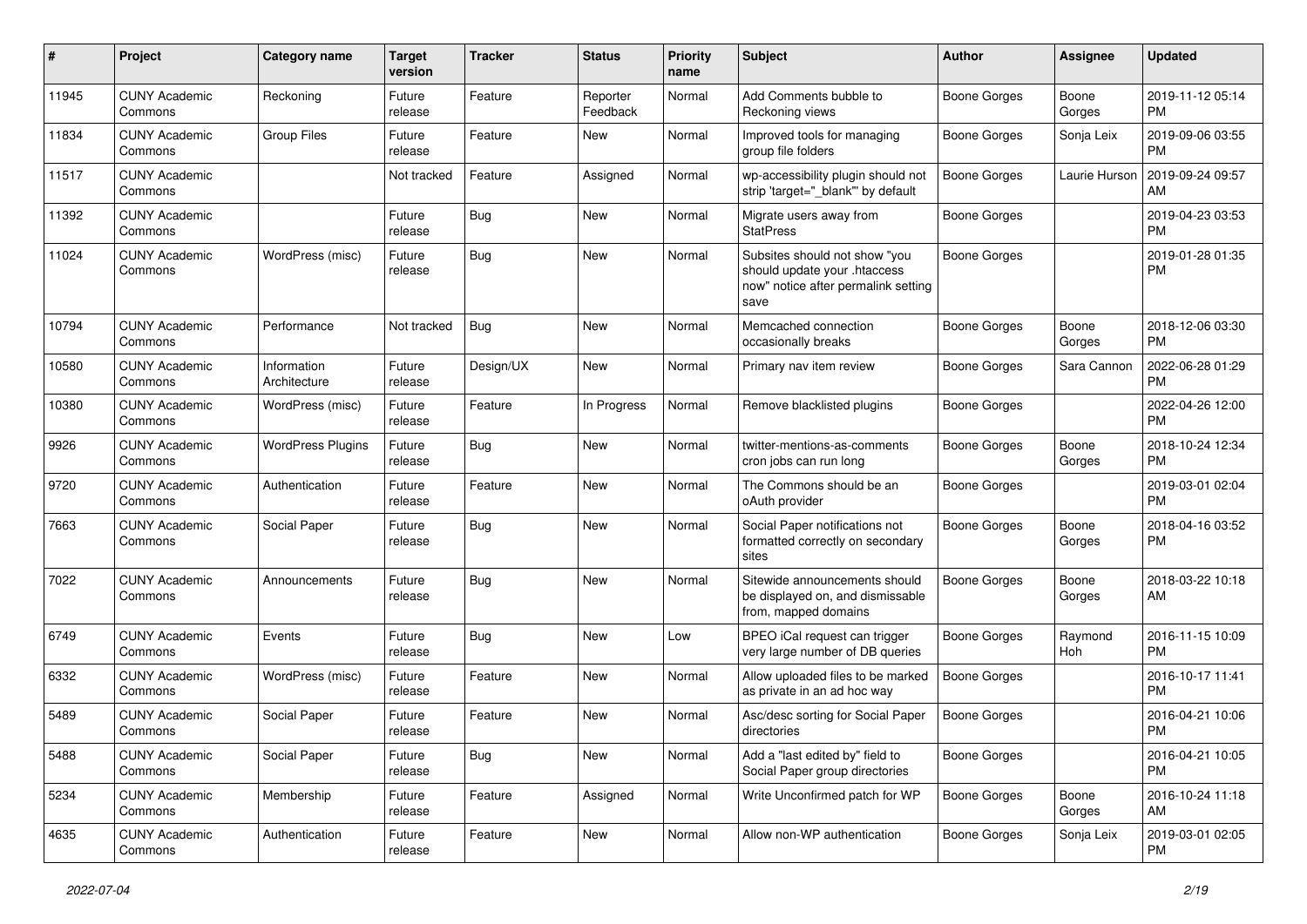| $\#$  | Project                         | <b>Category name</b>        | <b>Target</b><br>version | Tracker    | <b>Status</b>        | <b>Priority</b><br>name | <b>Subject</b>                                                                                               | Author              | Assignee        | <b>Updated</b>                |
|-------|---------------------------------|-----------------------------|--------------------------|------------|----------------------|-------------------------|--------------------------------------------------------------------------------------------------------------|---------------------|-----------------|-------------------------------|
| 11945 | <b>CUNY Academic</b><br>Commons | Reckoning                   | Future<br>release        | Feature    | Reporter<br>Feedback | Normal                  | Add Comments bubble to<br>Reckoning views                                                                    | <b>Boone Gorges</b> | Boone<br>Gorges | 2019-11-12 05:14<br><b>PM</b> |
| 11834 | <b>CUNY Academic</b><br>Commons | Group Files                 | Future<br>release        | Feature    | New                  | Normal                  | Improved tools for managing<br>group file folders                                                            | <b>Boone Gorges</b> | Sonja Leix      | 2019-09-06 03:55<br><b>PM</b> |
| 11517 | <b>CUNY Academic</b><br>Commons |                             | Not tracked              | Feature    | Assigned             | Normal                  | wp-accessibility plugin should not<br>strip 'target="_blank" by default                                      | Boone Gorges        | Laurie Hurson   | 2019-09-24 09:57<br>AM        |
| 11392 | <b>CUNY Academic</b><br>Commons |                             | Future<br>release        | Bug        | <b>New</b>           | Normal                  | Migrate users away from<br><b>StatPress</b>                                                                  | <b>Boone Gorges</b> |                 | 2019-04-23 03:53<br><b>PM</b> |
| 11024 | <b>CUNY Academic</b><br>Commons | WordPress (misc)            | Future<br>release        | <b>Bug</b> | <b>New</b>           | Normal                  | Subsites should not show "you<br>should update your .htaccess<br>now" notice after permalink setting<br>save | <b>Boone Gorges</b> |                 | 2019-01-28 01:35<br><b>PM</b> |
| 10794 | <b>CUNY Academic</b><br>Commons | Performance                 | Not tracked              | Bug        | New                  | Normal                  | Memcached connection<br>occasionally breaks                                                                  | Boone Gorges        | Boone<br>Gorges | 2018-12-06 03:30<br><b>PM</b> |
| 10580 | <b>CUNY Academic</b><br>Commons | Information<br>Architecture | Future<br>release        | Design/UX  | <b>New</b>           | Normal                  | Primary nav item review                                                                                      | <b>Boone Gorges</b> | Sara Cannon     | 2022-06-28 01:29<br><b>PM</b> |
| 10380 | <b>CUNY Academic</b><br>Commons | WordPress (misc)            | Future<br>release        | Feature    | In Progress          | Normal                  | Remove blacklisted plugins                                                                                   | <b>Boone Gorges</b> |                 | 2022-04-26 12:00<br><b>PM</b> |
| 9926  | <b>CUNY Academic</b><br>Commons | <b>WordPress Plugins</b>    | Future<br>release        | Bug        | <b>New</b>           | Normal                  | twitter-mentions-as-comments<br>cron jobs can run long                                                       | Boone Gorges        | Boone<br>Gorges | 2018-10-24 12:34<br><b>PM</b> |
| 9720  | <b>CUNY Academic</b><br>Commons | Authentication              | Future<br>release        | Feature    | <b>New</b>           | Normal                  | The Commons should be an<br>oAuth provider                                                                   | <b>Boone Gorges</b> |                 | 2019-03-01 02:04<br><b>PM</b> |
| 7663  | <b>CUNY Academic</b><br>Commons | Social Paper                | Future<br>release        | Bug        | <b>New</b>           | Normal                  | Social Paper notifications not<br>formatted correctly on secondary<br>sites                                  | <b>Boone Gorges</b> | Boone<br>Gorges | 2018-04-16 03:52<br><b>PM</b> |
| 7022  | <b>CUNY Academic</b><br>Commons | Announcements               | Future<br>release        | <b>Bug</b> | <b>New</b>           | Normal                  | Sitewide announcements should<br>be displayed on, and dismissable<br>from, mapped domains                    | <b>Boone Gorges</b> | Boone<br>Gorges | 2018-03-22 10:18<br>AM        |
| 6749  | <b>CUNY Academic</b><br>Commons | Events                      | Future<br>release        | <b>Bug</b> | <b>New</b>           | Low                     | BPEO iCal request can trigger<br>very large number of DB queries                                             | <b>Boone Gorges</b> | Raymond<br>Hoh  | 2016-11-15 10:09<br><b>PM</b> |
| 6332  | <b>CUNY Academic</b><br>Commons | WordPress (misc)            | Future<br>release        | Feature    | New                  | Normal                  | Allow uploaded files to be marked<br>as private in an ad hoc way                                             | <b>Boone Gorges</b> |                 | 2016-10-17 11:41<br><b>PM</b> |
| 5489  | <b>CUNY Academic</b><br>Commons | Social Paper                | Future<br>release        | Feature    | <b>New</b>           | Normal                  | Asc/desc sorting for Social Paper<br>directories                                                             | Boone Gorges        |                 | 2016-04-21 10:06<br>PM        |
| 5488  | <b>CUNY Academic</b><br>Commons | Social Paper                | Future<br>release        | Bug        | New                  | Normal                  | Add a "last edited by" field to<br>Social Paper group directories                                            | <b>Boone Gorges</b> |                 | 2016-04-21 10:05<br><b>PM</b> |
| 5234  | <b>CUNY Academic</b><br>Commons | Membership                  | Future<br>release        | Feature    | Assigned             | Normal                  | Write Unconfirmed patch for WP                                                                               | <b>Boone Gorges</b> | Boone<br>Gorges | 2016-10-24 11:18<br>AM        |
| 4635  | <b>CUNY Academic</b><br>Commons | Authentication              | Future<br>release        | Feature    | New                  | Normal                  | Allow non-WP authentication                                                                                  | <b>Boone Gorges</b> | Sonja Leix      | 2019-03-01 02:05<br>PM        |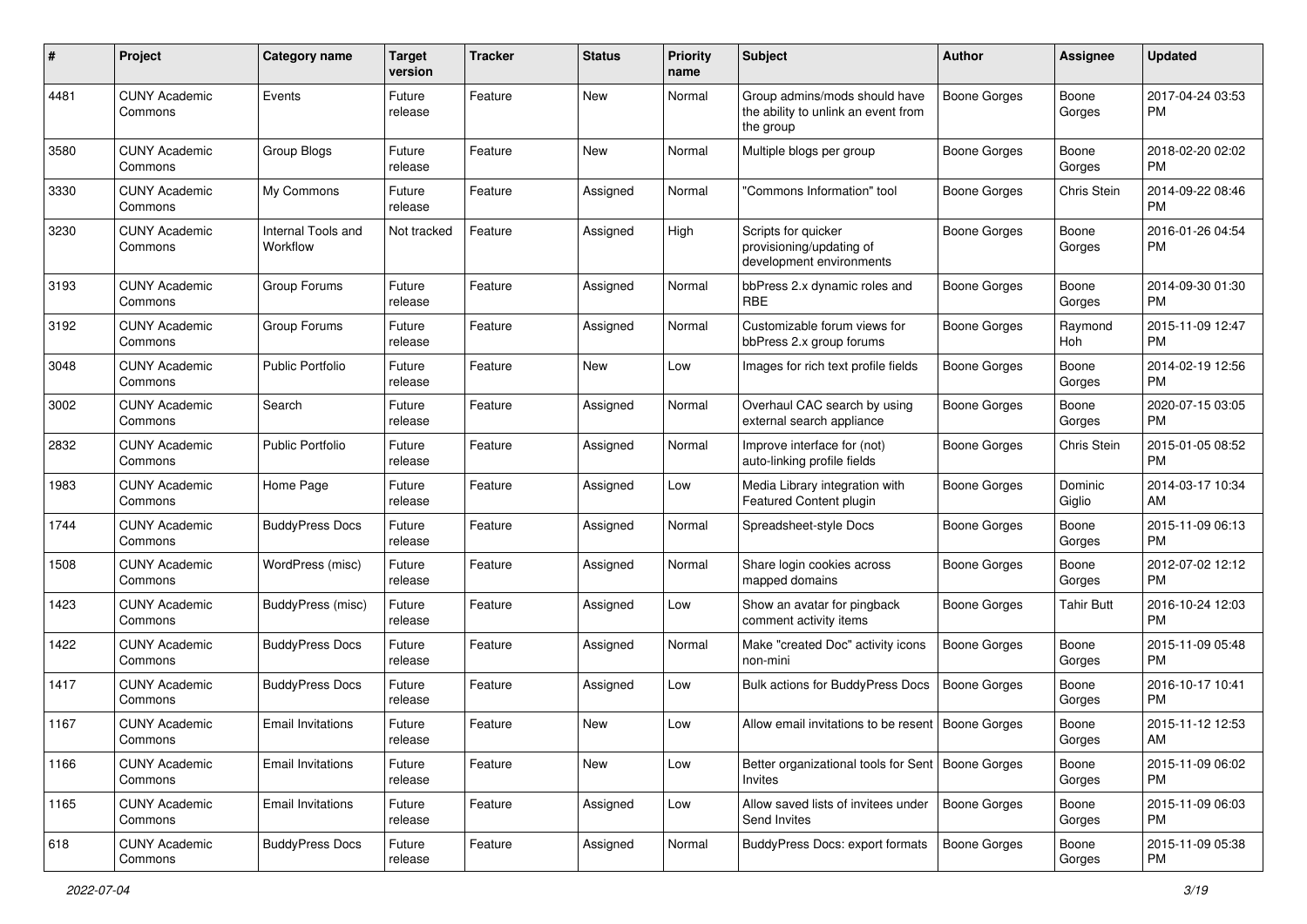| #    | Project                         | Category name                  | <b>Target</b><br>version | <b>Tracker</b> | <b>Status</b> | Priority<br>name | <b>Subject</b>                                                                    | Author              | <b>Assignee</b>   | <b>Updated</b>                |
|------|---------------------------------|--------------------------------|--------------------------|----------------|---------------|------------------|-----------------------------------------------------------------------------------|---------------------|-------------------|-------------------------------|
| 4481 | <b>CUNY Academic</b><br>Commons | Events                         | Future<br>release        | Feature        | <b>New</b>    | Normal           | Group admins/mods should have<br>the ability to unlink an event from<br>the group | <b>Boone Gorges</b> | Boone<br>Gorges   | 2017-04-24 03:53<br><b>PM</b> |
| 3580 | <b>CUNY Academic</b><br>Commons | Group Blogs                    | Future<br>release        | Feature        | <b>New</b>    | Normal           | Multiple blogs per group                                                          | <b>Boone Gorges</b> | Boone<br>Gorges   | 2018-02-20 02:02<br><b>PM</b> |
| 3330 | <b>CUNY Academic</b><br>Commons | My Commons                     | Future<br>release        | Feature        | Assigned      | Normal           | "Commons Information" tool                                                        | <b>Boone Gorges</b> | Chris Stein       | 2014-09-22 08:46<br><b>PM</b> |
| 3230 | <b>CUNY Academic</b><br>Commons | Internal Tools and<br>Workflow | Not tracked              | Feature        | Assigned      | High             | Scripts for quicker<br>provisioning/updating of<br>development environments       | Boone Gorges        | Boone<br>Gorges   | 2016-01-26 04:54<br><b>PM</b> |
| 3193 | <b>CUNY Academic</b><br>Commons | Group Forums                   | Future<br>release        | Feature        | Assigned      | Normal           | bbPress 2.x dynamic roles and<br><b>RBE</b>                                       | <b>Boone Gorges</b> | Boone<br>Gorges   | 2014-09-30 01:30<br><b>PM</b> |
| 3192 | <b>CUNY Academic</b><br>Commons | Group Forums                   | Future<br>release        | Feature        | Assigned      | Normal           | Customizable forum views for<br>bbPress 2.x group forums                          | Boone Gorges        | Raymond<br>Hoh    | 2015-11-09 12:47<br><b>PM</b> |
| 3048 | <b>CUNY Academic</b><br>Commons | Public Portfolio               | Future<br>release        | Feature        | New           | Low              | Images for rich text profile fields                                               | Boone Gorges        | Boone<br>Gorges   | 2014-02-19 12:56<br><b>PM</b> |
| 3002 | <b>CUNY Academic</b><br>Commons | Search                         | Future<br>release        | Feature        | Assigned      | Normal           | Overhaul CAC search by using<br>external search appliance                         | <b>Boone Gorges</b> | Boone<br>Gorges   | 2020-07-15 03:05<br><b>PM</b> |
| 2832 | <b>CUNY Academic</b><br>Commons | Public Portfolio               | Future<br>release        | Feature        | Assigned      | Normal           | Improve interface for (not)<br>auto-linking profile fields                        | <b>Boone Gorges</b> | Chris Stein       | 2015-01-05 08:52<br><b>PM</b> |
| 1983 | <b>CUNY Academic</b><br>Commons | Home Page                      | Future<br>release        | Feature        | Assigned      | Low              | Media Library integration with<br>Featured Content plugin                         | Boone Gorges        | Dominic<br>Giglio | 2014-03-17 10:34<br>AM        |
| 1744 | <b>CUNY Academic</b><br>Commons | <b>BuddyPress Docs</b>         | Future<br>release        | Feature        | Assigned      | Normal           | Spreadsheet-style Docs                                                            | <b>Boone Gorges</b> | Boone<br>Gorges   | 2015-11-09 06:13<br><b>PM</b> |
| 1508 | <b>CUNY Academic</b><br>Commons | WordPress (misc)               | Future<br>release        | Feature        | Assigned      | Normal           | Share login cookies across<br>mapped domains                                      | Boone Gorges        | Boone<br>Gorges   | 2012-07-02 12:12<br><b>PM</b> |
| 1423 | <b>CUNY Academic</b><br>Commons | BuddyPress (misc)              | Future<br>release        | Feature        | Assigned      | Low              | Show an avatar for pingback<br>comment activity items                             | Boone Gorges        | <b>Tahir Butt</b> | 2016-10-24 12:03<br><b>PM</b> |
| 1422 | <b>CUNY Academic</b><br>Commons | <b>BuddyPress Docs</b>         | Future<br>release        | Feature        | Assigned      | Normal           | Make "created Doc" activity icons<br>non-mini                                     | <b>Boone Gorges</b> | Boone<br>Gorges   | 2015-11-09 05:48<br><b>PM</b> |
| 1417 | <b>CUNY Academic</b><br>Commons | <b>BuddyPress Docs</b>         | Future<br>release        | Feature        | Assigned      | Low              | <b>Bulk actions for BuddyPress Docs</b>                                           | <b>Boone Gorges</b> | Boone<br>Gorges   | 2016-10-17 10:41<br><b>PM</b> |
| 1167 | <b>CUNY Academic</b><br>Commons | Email Invitations              | Future<br>release        | Feature        | New           | Low              | Allow email invitations to be resent   Boone Gorges                               |                     | Boone<br>Gorges   | 2015-11-12 12:53<br>AM        |
| 1166 | <b>CUNY Academic</b><br>Commons | <b>Email Invitations</b>       | Future<br>release        | Feature        | New           | Low              | Better organizational tools for Sent   Boone Gorges<br>Invites                    |                     | Boone<br>Gorges   | 2015-11-09 06:02<br>PM        |
| 1165 | <b>CUNY Academic</b><br>Commons | <b>Email Invitations</b>       | Future<br>release        | Feature        | Assigned      | Low              | Allow saved lists of invitees under<br>Send Invites                               | Boone Gorges        | Boone<br>Gorges   | 2015-11-09 06:03<br><b>PM</b> |
| 618  | <b>CUNY Academic</b><br>Commons | <b>BuddyPress Docs</b>         | Future<br>release        | Feature        | Assigned      | Normal           | BuddyPress Docs: export formats                                                   | Boone Gorges        | Boone<br>Gorges   | 2015-11-09 05:38<br><b>PM</b> |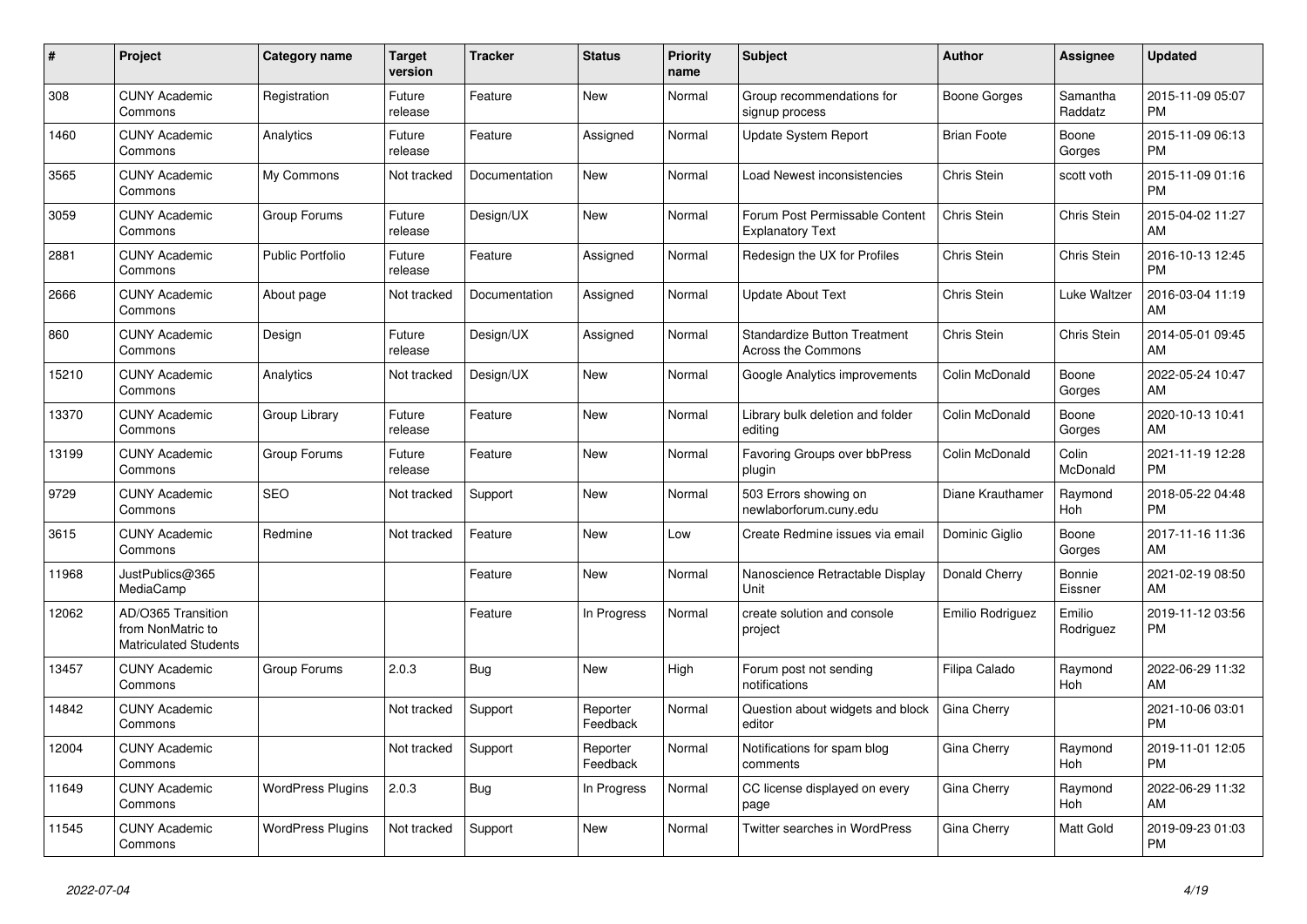| #     | <b>Project</b>                                                          | Category name            | <b>Target</b><br>version | <b>Tracker</b> | <b>Status</b>        | <b>Priority</b><br>name | <b>Subject</b>                                                   | <b>Author</b>      | Assignee            | <b>Updated</b>                |
|-------|-------------------------------------------------------------------------|--------------------------|--------------------------|----------------|----------------------|-------------------------|------------------------------------------------------------------|--------------------|---------------------|-------------------------------|
| 308   | <b>CUNY Academic</b><br>Commons                                         | Registration             | Future<br>release        | Feature        | <b>New</b>           | Normal                  | Group recommendations for<br>signup process                      | Boone Gorges       | Samantha<br>Raddatz | 2015-11-09 05:07<br><b>PM</b> |
| 1460  | <b>CUNY Academic</b><br>Commons                                         | Analytics                | Future<br>release        | Feature        | Assigned             | Normal                  | <b>Update System Report</b>                                      | <b>Brian Foote</b> | Boone<br>Gorges     | 2015-11-09 06:13<br><b>PM</b> |
| 3565  | <b>CUNY Academic</b><br>Commons                                         | My Commons               | Not tracked              | Documentation  | New                  | Normal                  | Load Newest inconsistencies                                      | Chris Stein        | scott voth          | 2015-11-09 01:16<br><b>PM</b> |
| 3059  | <b>CUNY Academic</b><br>Commons                                         | Group Forums             | Future<br>release        | Design/UX      | <b>New</b>           | Normal                  | Forum Post Permissable Content<br><b>Explanatory Text</b>        | Chris Stein        | Chris Stein         | 2015-04-02 11:27<br>AM        |
| 2881  | <b>CUNY Academic</b><br>Commons                                         | <b>Public Portfolio</b>  | Future<br>release        | Feature        | Assigned             | Normal                  | Redesign the UX for Profiles                                     | Chris Stein        | Chris Stein         | 2016-10-13 12:45<br><b>PM</b> |
| 2666  | <b>CUNY Academic</b><br>Commons                                         | About page               | Not tracked              | Documentation  | Assigned             | Normal                  | <b>Update About Text</b>                                         | Chris Stein        | Luke Waltzer        | 2016-03-04 11:19<br>AM        |
| 860   | <b>CUNY Academic</b><br>Commons                                         | Design                   | Future<br>release        | Design/UX      | Assigned             | Normal                  | <b>Standardize Button Treatment</b><br><b>Across the Commons</b> | Chris Stein        | Chris Stein         | 2014-05-01 09:45<br>AM        |
| 15210 | <b>CUNY Academic</b><br>Commons                                         | Analytics                | Not tracked              | Design/UX      | <b>New</b>           | Normal                  | Google Analytics improvements                                    | Colin McDonald     | Boone<br>Gorges     | 2022-05-24 10:47<br>AM        |
| 13370 | <b>CUNY Academic</b><br>Commons                                         | Group Library            | Future<br>release        | Feature        | <b>New</b>           | Normal                  | Library bulk deletion and folder<br>editing                      | Colin McDonald     | Boone<br>Gorges     | 2020-10-13 10:41<br>AM        |
| 13199 | <b>CUNY Academic</b><br>Commons                                         | Group Forums             | Future<br>release        | Feature        | New                  | Normal                  | Favoring Groups over bbPress<br>plugin                           | Colin McDonald     | Colin<br>McDonald   | 2021-11-19 12:28<br><b>PM</b> |
| 9729  | <b>CUNY Academic</b><br>Commons                                         | <b>SEO</b>               | Not tracked              | Support        | <b>New</b>           | Normal                  | 503 Errors showing on<br>newlaborforum.cuny.edu                  | Diane Krauthamer   | Raymond<br>Hoh      | 2018-05-22 04:48<br><b>PM</b> |
| 3615  | <b>CUNY Academic</b><br>Commons                                         | Redmine                  | Not tracked              | Feature        | New                  | Low                     | Create Redmine issues via email                                  | Dominic Giglio     | Boone<br>Gorges     | 2017-11-16 11:36<br>AM        |
| 11968 | JustPublics@365<br>MediaCamp                                            |                          |                          | Feature        | New                  | Normal                  | Nanoscience Retractable Display<br>Unit                          | Donald Cherry      | Bonnie<br>Eissner   | 2021-02-19 08:50<br>AM        |
| 12062 | AD/O365 Transition<br>from NonMatric to<br><b>Matriculated Students</b> |                          |                          | Feature        | In Progress          | Normal                  | create solution and console<br>project                           | Emilio Rodriguez   | Emilio<br>Rodriguez | 2019-11-12 03:56<br><b>PM</b> |
| 13457 | <b>CUNY Academic</b><br>Commons                                         | Group Forums             | 2.0.3                    | Bug            | <b>New</b>           | High                    | Forum post not sending<br>notifications                          | Filipa Calado      | Raymond<br>Hoh      | 2022-06-29 11:32<br>AM        |
| 14842 | <b>CUNY Academic</b><br>Commons                                         |                          | Not tracked              | Support        | Reporter<br>Feedback | Normal                  | Question about widgets and block<br>editor                       | Gina Cherry        |                     | 2021-10-06 03:01<br><b>PM</b> |
| 12004 | <b>CUNY Academic</b><br>Commons                                         |                          | Not tracked              | Support        | Reporter<br>Feedback | Normal                  | Notifications for spam blog<br>comments                          | Gina Cherry        | Raymond<br>Hoh      | 2019-11-01 12:05<br><b>PM</b> |
| 11649 | <b>CUNY Academic</b><br>Commons                                         | <b>WordPress Plugins</b> | 2.0.3                    | Bug            | In Progress          | Normal                  | CC license displayed on every<br>page                            | Gina Cherry        | Raymond<br>Hoh      | 2022-06-29 11:32<br>AM        |
| 11545 | <b>CUNY Academic</b><br>Commons                                         | <b>WordPress Plugins</b> | Not tracked              | Support        | <b>New</b>           | Normal                  | <b>Twitter searches in WordPress</b>                             | Gina Cherry        | Matt Gold           | 2019-09-23 01:03<br><b>PM</b> |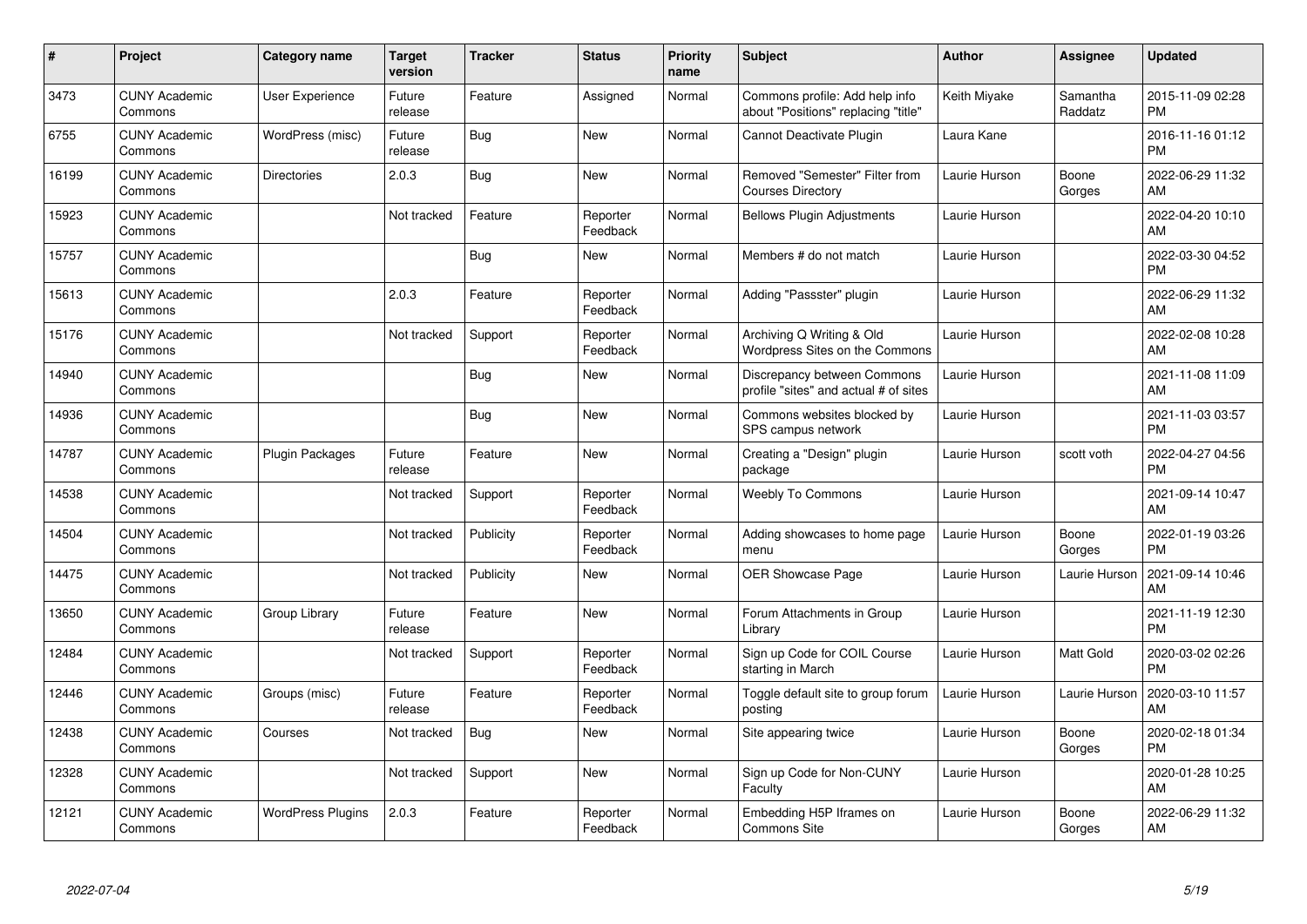| #     | Project                         | Category name            | <b>Target</b><br>version | <b>Tracker</b> | <b>Status</b>        | <b>Priority</b><br>name | <b>Subject</b>                                                        | Author        | <b>Assignee</b>     | <b>Updated</b>                |
|-------|---------------------------------|--------------------------|--------------------------|----------------|----------------------|-------------------------|-----------------------------------------------------------------------|---------------|---------------------|-------------------------------|
| 3473  | <b>CUNY Academic</b><br>Commons | User Experience          | Future<br>release        | Feature        | Assigned             | Normal                  | Commons profile: Add help info<br>about "Positions" replacing "title" | Keith Miyake  | Samantha<br>Raddatz | 2015-11-09 02:28<br><b>PM</b> |
| 6755  | <b>CUNY Academic</b><br>Commons | WordPress (misc)         | Future<br>release        | Bug            | <b>New</b>           | Normal                  | Cannot Deactivate Plugin                                              | Laura Kane    |                     | 2016-11-16 01:12<br><b>PM</b> |
| 16199 | <b>CUNY Academic</b><br>Commons | <b>Directories</b>       | 2.0.3                    | <b>Bug</b>     | <b>New</b>           | Normal                  | Removed "Semester" Filter from<br><b>Courses Directory</b>            | Laurie Hurson | Boone<br>Gorges     | 2022-06-29 11:32<br>AM        |
| 15923 | <b>CUNY Academic</b><br>Commons |                          | Not tracked              | Feature        | Reporter<br>Feedback | Normal                  | <b>Bellows Plugin Adjustments</b>                                     | Laurie Hurson |                     | 2022-04-20 10:10<br>AM        |
| 15757 | <b>CUNY Academic</b><br>Commons |                          |                          | Bug            | <b>New</b>           | Normal                  | Members # do not match                                                | Laurie Hurson |                     | 2022-03-30 04:52<br><b>PM</b> |
| 15613 | <b>CUNY Academic</b><br>Commons |                          | 2.0.3                    | Feature        | Reporter<br>Feedback | Normal                  | Adding "Passster" plugin                                              | Laurie Hurson |                     | 2022-06-29 11:32<br>AM        |
| 15176 | <b>CUNY Academic</b><br>Commons |                          | Not tracked              | Support        | Reporter<br>Feedback | Normal                  | Archiving Q Writing & Old<br>Wordpress Sites on the Commons           | Laurie Hurson |                     | 2022-02-08 10:28<br>AM        |
| 14940 | <b>CUNY Academic</b><br>Commons |                          |                          | <b>Bug</b>     | <b>New</b>           | Normal                  | Discrepancy between Commons<br>profile "sites" and actual # of sites  | Laurie Hurson |                     | 2021-11-08 11:09<br>AM        |
| 14936 | <b>CUNY Academic</b><br>Commons |                          |                          | Bug            | <b>New</b>           | Normal                  | Commons websites blocked by<br>SPS campus network                     | Laurie Hurson |                     | 2021-11-03 03:57<br><b>PM</b> |
| 14787 | <b>CUNY Academic</b><br>Commons | <b>Plugin Packages</b>   | Future<br>release        | Feature        | <b>New</b>           | Normal                  | Creating a "Design" plugin<br>package                                 | Laurie Hurson | scott voth          | 2022-04-27 04:56<br><b>PM</b> |
| 14538 | <b>CUNY Academic</b><br>Commons |                          | Not tracked              | Support        | Reporter<br>Feedback | Normal                  | <b>Weebly To Commons</b>                                              | Laurie Hurson |                     | 2021-09-14 10:47<br>AM        |
| 14504 | <b>CUNY Academic</b><br>Commons |                          | Not tracked              | Publicity      | Reporter<br>Feedback | Normal                  | Adding showcases to home page<br>menu                                 | Laurie Hurson | Boone<br>Gorges     | 2022-01-19 03:26<br><b>PM</b> |
| 14475 | <b>CUNY Academic</b><br>Commons |                          | Not tracked              | Publicity      | <b>New</b>           | Normal                  | OER Showcase Page                                                     | Laurie Hurson | Laurie Hurson       | 2021-09-14 10:46<br>AM        |
| 13650 | <b>CUNY Academic</b><br>Commons | Group Library            | Future<br>release        | Feature        | <b>New</b>           | Normal                  | Forum Attachments in Group<br>Library                                 | Laurie Hurson |                     | 2021-11-19 12:30<br><b>PM</b> |
| 12484 | <b>CUNY Academic</b><br>Commons |                          | Not tracked              | Support        | Reporter<br>Feedback | Normal                  | Sign up Code for COIL Course<br>starting in March                     | Laurie Hurson | Matt Gold           | 2020-03-02 02:26<br><b>PM</b> |
| 12446 | <b>CUNY Academic</b><br>Commons | Groups (misc)            | Future<br>release        | Feature        | Reporter<br>Feedback | Normal                  | Toggle default site to group forum<br>posting                         | Laurie Hurson | Laurie Hurson       | 2020-03-10 11:57<br>AM        |
| 12438 | <b>CUNY Academic</b><br>Commons | Courses                  | Not tracked              | Bug            | New                  | Normal                  | Site appearing twice                                                  | Laurie Hurson | Boone<br>Gorges     | 2020-02-18 01:34<br><b>PM</b> |
| 12328 | <b>CUNY Academic</b><br>Commons |                          | Not tracked              | Support        | <b>New</b>           | Normal                  | Sign up Code for Non-CUNY<br>Faculty                                  | Laurie Hurson |                     | 2020-01-28 10:25<br>AM        |
| 12121 | <b>CUNY Academic</b><br>Commons | <b>WordPress Plugins</b> | 2.0.3                    | Feature        | Reporter<br>Feedback | Normal                  | Embedding H5P Iframes on<br><b>Commons Site</b>                       | Laurie Hurson | Boone<br>Gorges     | 2022-06-29 11:32<br>AM        |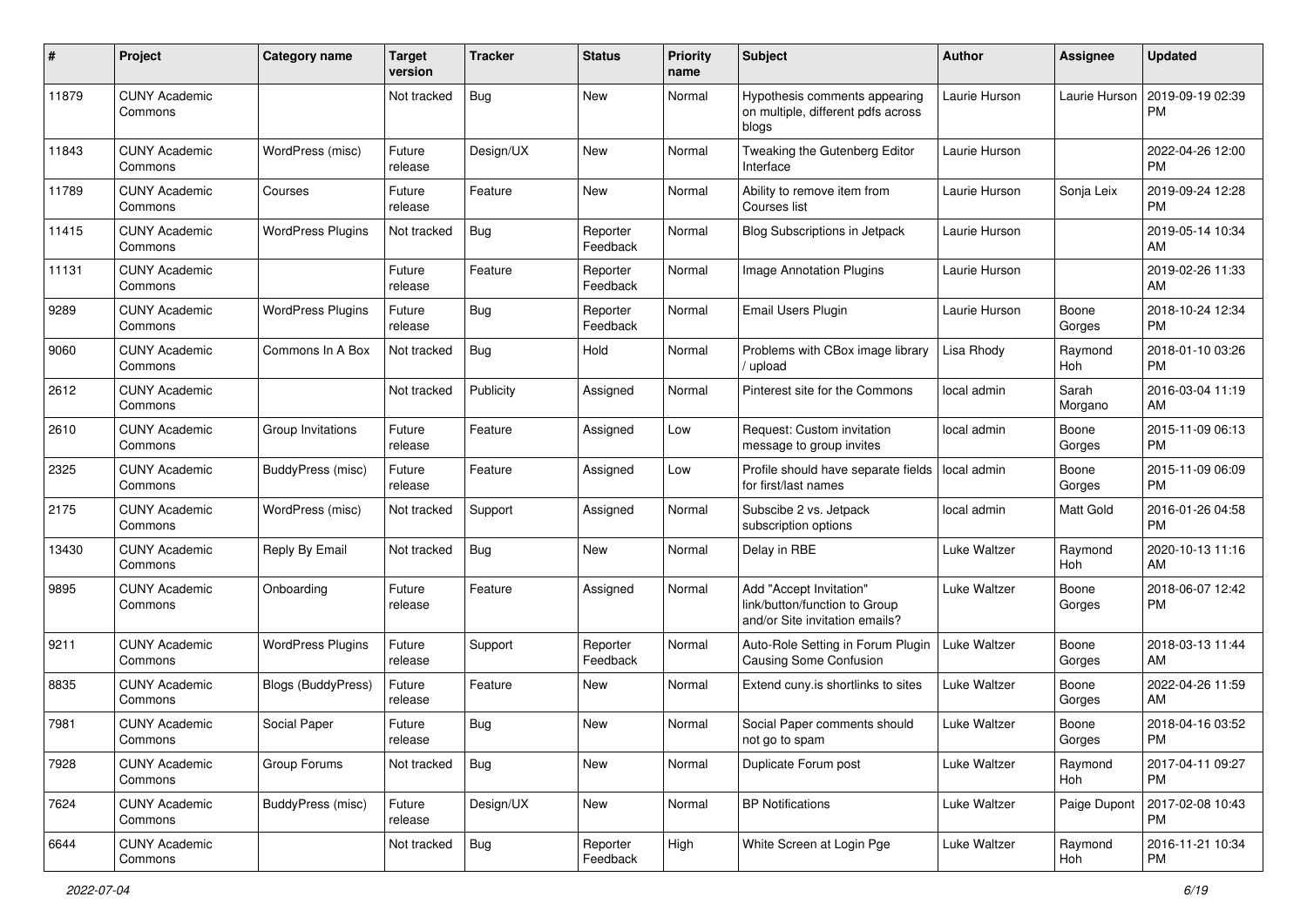| #     | Project                         | <b>Category name</b>     | <b>Target</b><br>version | <b>Tracker</b> | <b>Status</b>        | <b>Priority</b><br>name | Subject                                                                                    | Author        | Assignee         | <b>Updated</b>                |
|-------|---------------------------------|--------------------------|--------------------------|----------------|----------------------|-------------------------|--------------------------------------------------------------------------------------------|---------------|------------------|-------------------------------|
| 11879 | <b>CUNY Academic</b><br>Commons |                          | Not tracked              | Bug            | New                  | Normal                  | Hypothesis comments appearing<br>on multiple, different pdfs across<br>blogs               | Laurie Hurson | Laurie Hurson    | 2019-09-19 02:39<br><b>PM</b> |
| 11843 | <b>CUNY Academic</b><br>Commons | WordPress (misc)         | Future<br>release        | Design/UX      | New                  | Normal                  | Tweaking the Gutenberg Editor<br>Interface                                                 | Laurie Hurson |                  | 2022-04-26 12:00<br>PM.       |
| 11789 | <b>CUNY Academic</b><br>Commons | Courses                  | Future<br>release        | Feature        | New                  | Normal                  | Ability to remove item from<br>Courses list                                                | Laurie Hurson | Sonja Leix       | 2019-09-24 12:28<br><b>PM</b> |
| 11415 | <b>CUNY Academic</b><br>Commons | <b>WordPress Plugins</b> | Not tracked              | Bug            | Reporter<br>Feedback | Normal                  | Blog Subscriptions in Jetpack                                                              | Laurie Hurson |                  | 2019-05-14 10:34<br>AM        |
| 11131 | <b>CUNY Academic</b><br>Commons |                          | Future<br>release        | Feature        | Reporter<br>Feedback | Normal                  | Image Annotation Plugins                                                                   | Laurie Hurson |                  | 2019-02-26 11:33<br>AM        |
| 9289  | <b>CUNY Academic</b><br>Commons | <b>WordPress Plugins</b> | Future<br>release        | Bug            | Reporter<br>Feedback | Normal                  | <b>Email Users Plugin</b>                                                                  | Laurie Hurson | Boone<br>Gorges  | 2018-10-24 12:34<br><b>PM</b> |
| 9060  | <b>CUNY Academic</b><br>Commons | Commons In A Box         | Not tracked              | <b>Bug</b>     | Hold                 | Normal                  | Problems with CBox image library<br>upload                                                 | Lisa Rhody    | Raymond<br>Hoh   | 2018-01-10 03:26<br><b>PM</b> |
| 2612  | <b>CUNY Academic</b><br>Commons |                          | Not tracked              | Publicity      | Assigned             | Normal                  | Pinterest site for the Commons                                                             | local admin   | Sarah<br>Morgano | 2016-03-04 11:19<br>AM        |
| 2610  | <b>CUNY Academic</b><br>Commons | Group Invitations        | Future<br>release        | Feature        | Assigned             | Low                     | Request: Custom invitation<br>message to group invites                                     | local admin   | Boone<br>Gorges  | 2015-11-09 06:13<br><b>PM</b> |
| 2325  | <b>CUNY Academic</b><br>Commons | <b>BuddyPress</b> (misc) | Future<br>release        | Feature        | Assigned             | Low                     | Profile should have separate fields<br>for first/last names                                | local admin   | Boone<br>Gorges  | 2015-11-09 06:09<br><b>PM</b> |
| 2175  | <b>CUNY Academic</b><br>Commons | WordPress (misc)         | Not tracked              | Support        | Assigned             | Normal                  | Subscibe 2 vs. Jetpack<br>subscription options                                             | local admin   | Matt Gold        | 2016-01-26 04:58<br><b>PM</b> |
| 13430 | <b>CUNY Academic</b><br>Commons | Reply By Email           | Not tracked              | Bug            | New                  | Normal                  | Delay in RBE                                                                               | Luke Waltzer  | Raymond<br>Hoh   | 2020-10-13 11:16<br>AM        |
| 9895  | <b>CUNY Academic</b><br>Commons | Onboarding               | Future<br>release        | Feature        | Assigned             | Normal                  | Add "Accept Invitation"<br>link/button/function to Group<br>and/or Site invitation emails? | Luke Waltzer  | Boone<br>Gorges  | 2018-06-07 12:42<br><b>PM</b> |
| 9211  | <b>CUNY Academic</b><br>Commons | <b>WordPress Plugins</b> | Future<br>release        | Support        | Reporter<br>Feedback | Normal                  | Auto-Role Setting in Forum Plugin<br><b>Causing Some Confusion</b>                         | Luke Waltzer  | Boone<br>Gorges  | 2018-03-13 11:44<br>AM        |
| 8835  | <b>CUNY Academic</b><br>Commons | Blogs (BuddyPress)       | Future<br>release        | Feature        | New                  | Normal                  | Extend cuny is shortlinks to sites                                                         | Luke Waltzer  | Boone<br>Gorges  | 2022-04-26 11:59<br>AM        |
| 7981  | <b>CUNY Academic</b><br>Commons | Social Paper             | Future<br>release        | <b>Bug</b>     | New                  | Normal                  | Social Paper comments should<br>not go to spam                                             | Luke Waltzer  | Boone<br>Gorges  | 2018-04-16 03:52<br>PM        |
| 7928  | <b>CUNY Academic</b><br>Commons | Group Forums             | Not tracked              | <b>Bug</b>     | New                  | Normal                  | Duplicate Forum post                                                                       | Luke Waltzer  | Raymond<br>Hoh   | 2017-04-11 09:27<br>PM        |
| 7624  | <b>CUNY Academic</b><br>Commons | <b>BuddyPress (misc)</b> | Future<br>release        | Design/UX      | New                  | Normal                  | <b>BP Notifications</b>                                                                    | Luke Waltzer  | Paige Dupont     | 2017-02-08 10:43<br><b>PM</b> |
| 6644  | <b>CUNY Academic</b><br>Commons |                          | Not tracked              | Bug            | Reporter<br>Feedback | High                    | White Screen at Login Pge                                                                  | Luke Waltzer  | Raymond<br>Hoh   | 2016-11-21 10:34<br>PM        |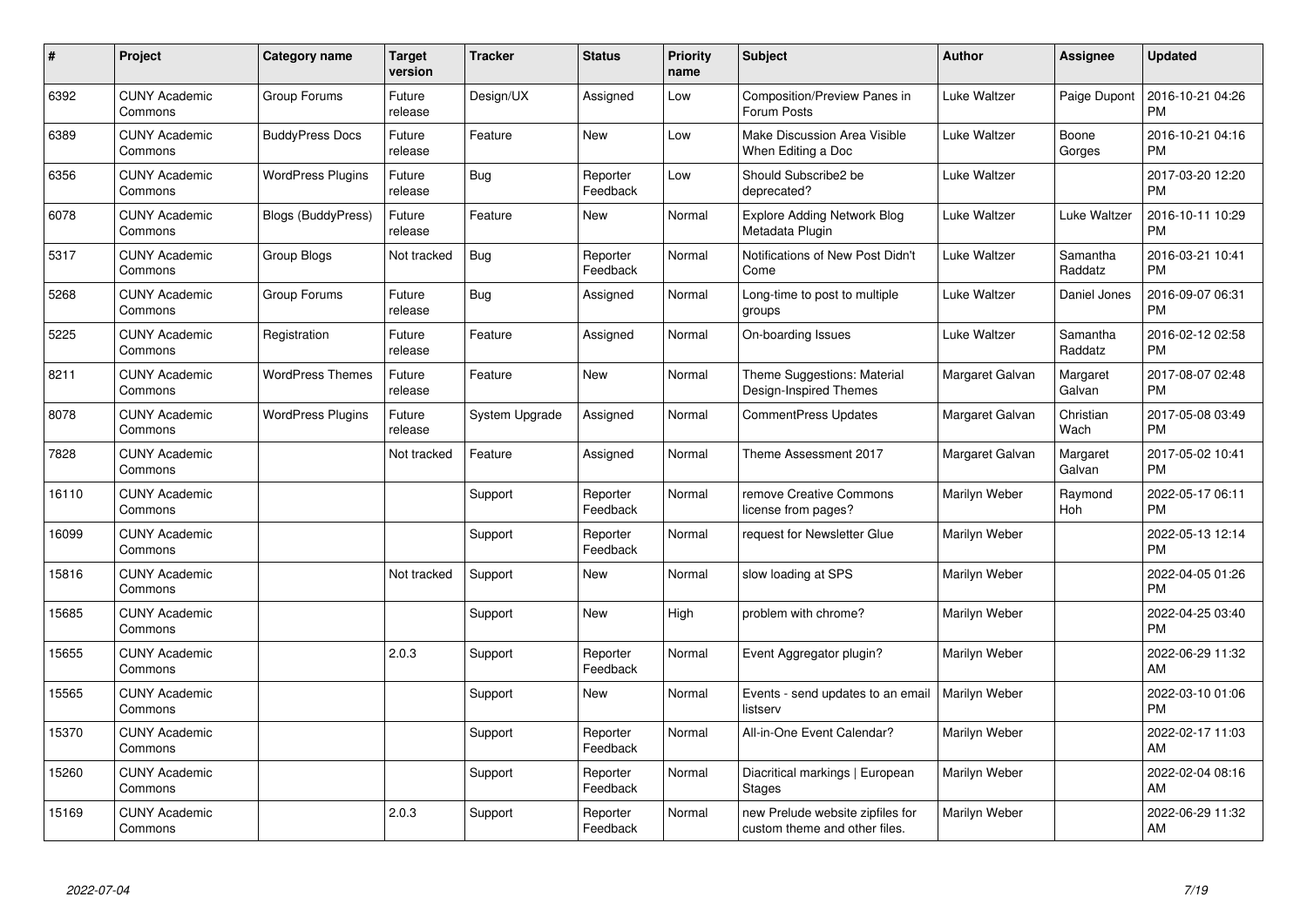| #     | Project                         | <b>Category name</b>     | <b>Target</b><br>version | <b>Tracker</b> | <b>Status</b>        | <b>Priority</b><br>name | <b>Subject</b>                                                    | <b>Author</b>   | Assignee            | <b>Updated</b>                |
|-------|---------------------------------|--------------------------|--------------------------|----------------|----------------------|-------------------------|-------------------------------------------------------------------|-----------------|---------------------|-------------------------------|
| 6392  | <b>CUNY Academic</b><br>Commons | Group Forums             | Future<br>release        | Design/UX      | Assigned             | Low                     | <b>Composition/Preview Panes in</b><br>Forum Posts                | Luke Waltzer    | Paige Dupont        | 2016-10-21 04:26<br><b>PM</b> |
| 6389  | <b>CUNY Academic</b><br>Commons | <b>BuddyPress Docs</b>   | Future<br>release        | Feature        | New                  | Low                     | Make Discussion Area Visible<br>When Editing a Doc                | Luke Waltzer    | Boone<br>Gorges     | 2016-10-21 04:16<br><b>PM</b> |
| 6356  | <b>CUNY Academic</b><br>Commons | <b>WordPress Plugins</b> | Future<br>release        | Bug            | Reporter<br>Feedback | Low                     | Should Subscribe2 be<br>deprecated?                               | Luke Waltzer    |                     | 2017-03-20 12:20<br><b>PM</b> |
| 6078  | <b>CUNY Academic</b><br>Commons | Blogs (BuddyPress)       | Future<br>release        | Feature        | New                  | Normal                  | <b>Explore Adding Network Blog</b><br>Metadata Plugin             | Luke Waltzer    | Luke Waltzer        | 2016-10-11 10:29<br><b>PM</b> |
| 5317  | <b>CUNY Academic</b><br>Commons | Group Blogs              | Not tracked              | <b>Bug</b>     | Reporter<br>Feedback | Normal                  | Notifications of New Post Didn't<br>Come                          | Luke Waltzer    | Samantha<br>Raddatz | 2016-03-21 10:41<br><b>PM</b> |
| 5268  | <b>CUNY Academic</b><br>Commons | Group Forums             | Future<br>release        | Bug            | Assigned             | Normal                  | Long-time to post to multiple<br>groups                           | Luke Waltzer    | Daniel Jones        | 2016-09-07 06:31<br><b>PM</b> |
| 5225  | <b>CUNY Academic</b><br>Commons | Registration             | Future<br>release        | Feature        | Assigned             | Normal                  | On-boarding Issues                                                | Luke Waltzer    | Samantha<br>Raddatz | 2016-02-12 02:58<br><b>PM</b> |
| 8211  | <b>CUNY Academic</b><br>Commons | <b>WordPress Themes</b>  | Future<br>release        | Feature        | <b>New</b>           | Normal                  | Theme Suggestions: Material<br>Design-Inspired Themes             | Margaret Galvan | Margaret<br>Galvan  | 2017-08-07 02:48<br><b>PM</b> |
| 8078  | <b>CUNY Academic</b><br>Commons | <b>WordPress Plugins</b> | Future<br>release        | System Upgrade | Assigned             | Normal                  | <b>CommentPress Updates</b>                                       | Margaret Galvan | Christian<br>Wach   | 2017-05-08 03:49<br><b>PM</b> |
| 7828  | <b>CUNY Academic</b><br>Commons |                          | Not tracked              | Feature        | Assigned             | Normal                  | Theme Assessment 2017                                             | Margaret Galvan | Margaret<br>Galvan  | 2017-05-02 10:41<br><b>PM</b> |
| 16110 | <b>CUNY Academic</b><br>Commons |                          |                          | Support        | Reporter<br>Feedback | Normal                  | remove Creative Commons<br>license from pages?                    | Marilyn Weber   | Raymond<br>Hoh      | 2022-05-17 06:11<br><b>PM</b> |
| 16099 | <b>CUNY Academic</b><br>Commons |                          |                          | Support        | Reporter<br>Feedback | Normal                  | request for Newsletter Glue                                       | Marilyn Weber   |                     | 2022-05-13 12:14<br><b>PM</b> |
| 15816 | <b>CUNY Academic</b><br>Commons |                          | Not tracked              | Support        | New                  | Normal                  | slow loading at SPS                                               | Marilyn Weber   |                     | 2022-04-05 01:26<br><b>PM</b> |
| 15685 | <b>CUNY Academic</b><br>Commons |                          |                          | Support        | New                  | High                    | problem with chrome?                                              | Marilyn Weber   |                     | 2022-04-25 03:40<br><b>PM</b> |
| 15655 | <b>CUNY Academic</b><br>Commons |                          | 2.0.3                    | Support        | Reporter<br>Feedback | Normal                  | Event Aggregator plugin?                                          | Marilyn Weber   |                     | 2022-06-29 11:32<br>AM        |
| 15565 | <b>CUNY Academic</b><br>Commons |                          |                          | Support        | New                  | Normal                  | Events - send updates to an email<br>listserv                     | Marilyn Weber   |                     | 2022-03-10 01:06<br><b>PM</b> |
| 15370 | <b>CUNY Academic</b><br>Commons |                          |                          | Support        | Reporter<br>Feedback | Normal                  | All-in-One Event Calendar?                                        | Marilyn Weber   |                     | 2022-02-17 11:03<br>AM        |
| 15260 | <b>CUNY Academic</b><br>Commons |                          |                          | Support        | Reporter<br>Feedback | Normal                  | Diacritical markings   European<br><b>Stages</b>                  | Marilyn Weber   |                     | 2022-02-04 08:16<br>AM        |
| 15169 | <b>CUNY Academic</b><br>Commons |                          | 2.0.3                    | Support        | Reporter<br>Feedback | Normal                  | new Prelude website zipfiles for<br>custom theme and other files. | Marilyn Weber   |                     | 2022-06-29 11:32<br>AM        |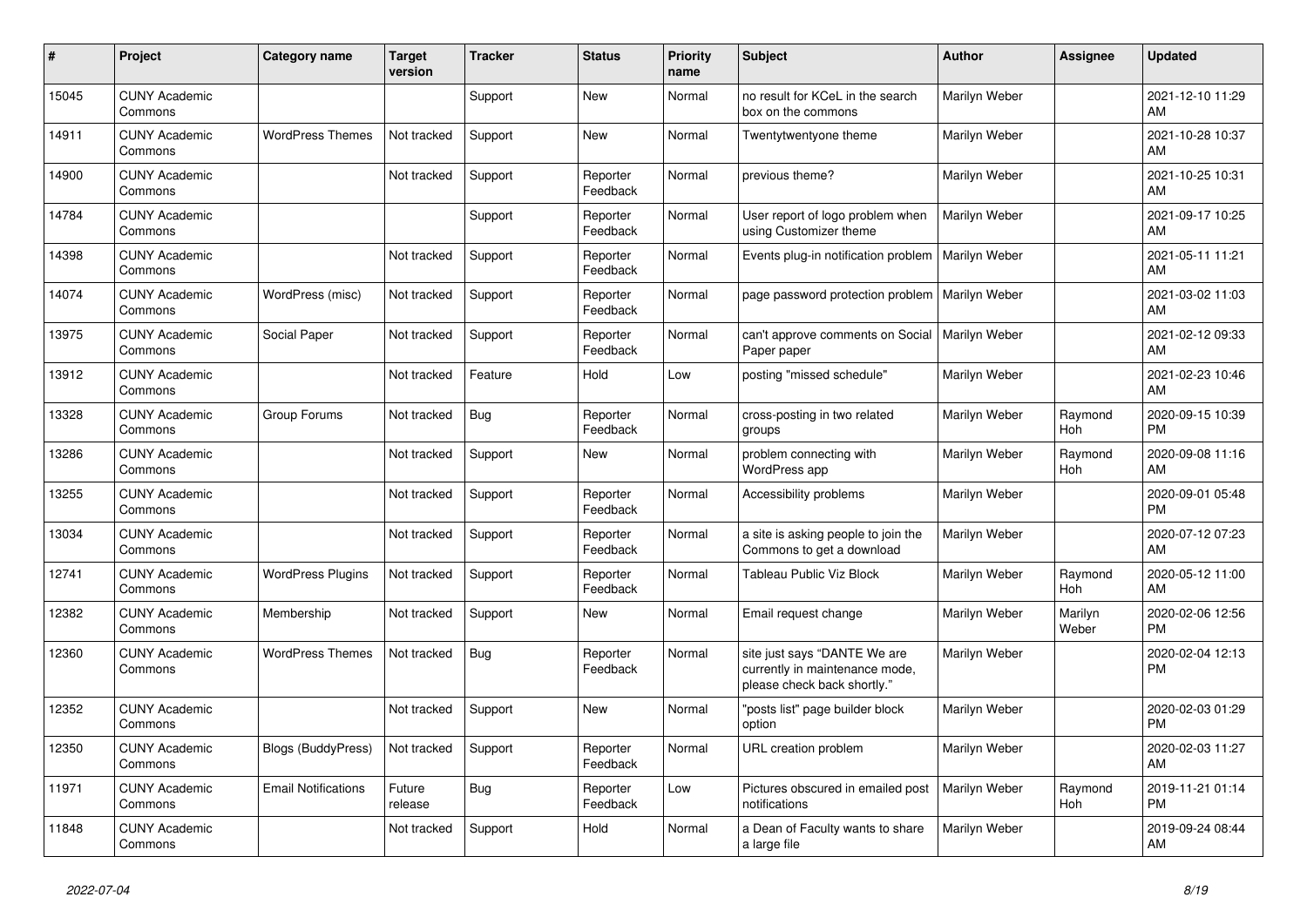| #     | Project                         | <b>Category name</b>       | <b>Target</b><br>version | <b>Tracker</b> | <b>Status</b>        | <b>Priority</b><br>name | <b>Subject</b>                                                                                | <b>Author</b> | <b>Assignee</b>  | <b>Updated</b>                |
|-------|---------------------------------|----------------------------|--------------------------|----------------|----------------------|-------------------------|-----------------------------------------------------------------------------------------------|---------------|------------------|-------------------------------|
| 15045 | <b>CUNY Academic</b><br>Commons |                            |                          | Support        | New                  | Normal                  | no result for KCeL in the search<br>box on the commons                                        | Marilyn Weber |                  | 2021-12-10 11:29<br>AM        |
| 14911 | <b>CUNY Academic</b><br>Commons | <b>WordPress Themes</b>    | Not tracked              | Support        | New                  | Normal                  | Twentytwentyone theme                                                                         | Marilyn Weber |                  | 2021-10-28 10:37<br>AM.       |
| 14900 | <b>CUNY Academic</b><br>Commons |                            | Not tracked              | Support        | Reporter<br>Feedback | Normal                  | previous theme?                                                                               | Marilyn Weber |                  | 2021-10-25 10:31<br>AM        |
| 14784 | <b>CUNY Academic</b><br>Commons |                            |                          | Support        | Reporter<br>Feedback | Normal                  | User report of logo problem when<br>using Customizer theme                                    | Marilyn Weber |                  | 2021-09-17 10:25<br><b>AM</b> |
| 14398 | <b>CUNY Academic</b><br>Commons |                            | Not tracked              | Support        | Reporter<br>Feedback | Normal                  | Events plug-in notification problem                                                           | Marilyn Weber |                  | 2021-05-11 11:21<br><b>AM</b> |
| 14074 | <b>CUNY Academic</b><br>Commons | WordPress (misc)           | Not tracked              | Support        | Reporter<br>Feedback | Normal                  | page password protection problem                                                              | Marilyn Weber |                  | 2021-03-02 11:03<br>AM        |
| 13975 | <b>CUNY Academic</b><br>Commons | Social Paper               | Not tracked              | Support        | Reporter<br>Feedback | Normal                  | can't approve comments on Social<br>Paper paper                                               | Marilyn Weber |                  | 2021-02-12 09:33<br>AM        |
| 13912 | <b>CUNY Academic</b><br>Commons |                            | Not tracked              | Feature        | Hold                 | Low                     | posting "missed schedule"                                                                     | Marilyn Weber |                  | 2021-02-23 10:46<br>AM        |
| 13328 | <b>CUNY Academic</b><br>Commons | Group Forums               | Not tracked              | Bug            | Reporter<br>Feedback | Normal                  | cross-posting in two related<br>groups                                                        | Marilyn Weber | Raymond<br>Hoh   | 2020-09-15 10:39<br><b>PM</b> |
| 13286 | <b>CUNY Academic</b><br>Commons |                            | Not tracked              | Support        | <b>New</b>           | Normal                  | problem connecting with<br><b>WordPress app</b>                                               | Marilyn Weber | Raymond<br>Hoh   | 2020-09-08 11:16<br><b>AM</b> |
| 13255 | <b>CUNY Academic</b><br>Commons |                            | Not tracked              | Support        | Reporter<br>Feedback | Normal                  | Accessibility problems                                                                        | Marilyn Weber |                  | 2020-09-01 05:48<br><b>PM</b> |
| 13034 | <b>CUNY Academic</b><br>Commons |                            | Not tracked              | Support        | Reporter<br>Feedback | Normal                  | a site is asking people to join the<br>Commons to get a download                              | Marilyn Weber |                  | 2020-07-12 07:23<br>AM        |
| 12741 | <b>CUNY Academic</b><br>Commons | <b>WordPress Plugins</b>   | Not tracked              | Support        | Reporter<br>Feedback | Normal                  | <b>Tableau Public Viz Block</b>                                                               | Marilyn Weber | Raymond<br>Hoh   | 2020-05-12 11:00<br>AM        |
| 12382 | <b>CUNY Academic</b><br>Commons | Membership                 | Not tracked              | Support        | New                  | Normal                  | Email request change                                                                          | Marilyn Weber | Marilyn<br>Weber | 2020-02-06 12:56<br><b>PM</b> |
| 12360 | <b>CUNY Academic</b><br>Commons | <b>WordPress Themes</b>    | Not tracked              | <b>Bug</b>     | Reporter<br>Feedback | Normal                  | site just says "DANTE We are<br>currently in maintenance mode,<br>please check back shortly." | Marilyn Weber |                  | 2020-02-04 12:13<br><b>PM</b> |
| 12352 | <b>CUNY Academic</b><br>Commons |                            | Not tracked              | Support        | New                  | Normal                  | "posts list" page builder block<br>option                                                     | Marilyn Weber |                  | 2020-02-03 01:29<br><b>PM</b> |
| 12350 | <b>CUNY Academic</b><br>Commons | <b>Blogs (BuddyPress)</b>  | Not tracked              | Support        | Reporter<br>Feedback | Normal                  | URL creation problem                                                                          | Marilyn Weber |                  | 2020-02-03 11:27<br>AM        |
| 11971 | <b>CUNY Academic</b><br>Commons | <b>Email Notifications</b> | Future<br>release        | Bug            | Reporter<br>Feedback | Low                     | Pictures obscured in emailed post<br>notifications                                            | Marilyn Weber | Raymond<br>Hoh   | 2019-11-21 01:14<br><b>PM</b> |
| 11848 | <b>CUNY Academic</b><br>Commons |                            | Not tracked              | Support        | Hold                 | Normal                  | a Dean of Faculty wants to share<br>a large file                                              | Marilyn Weber |                  | 2019-09-24 08:44<br>AM        |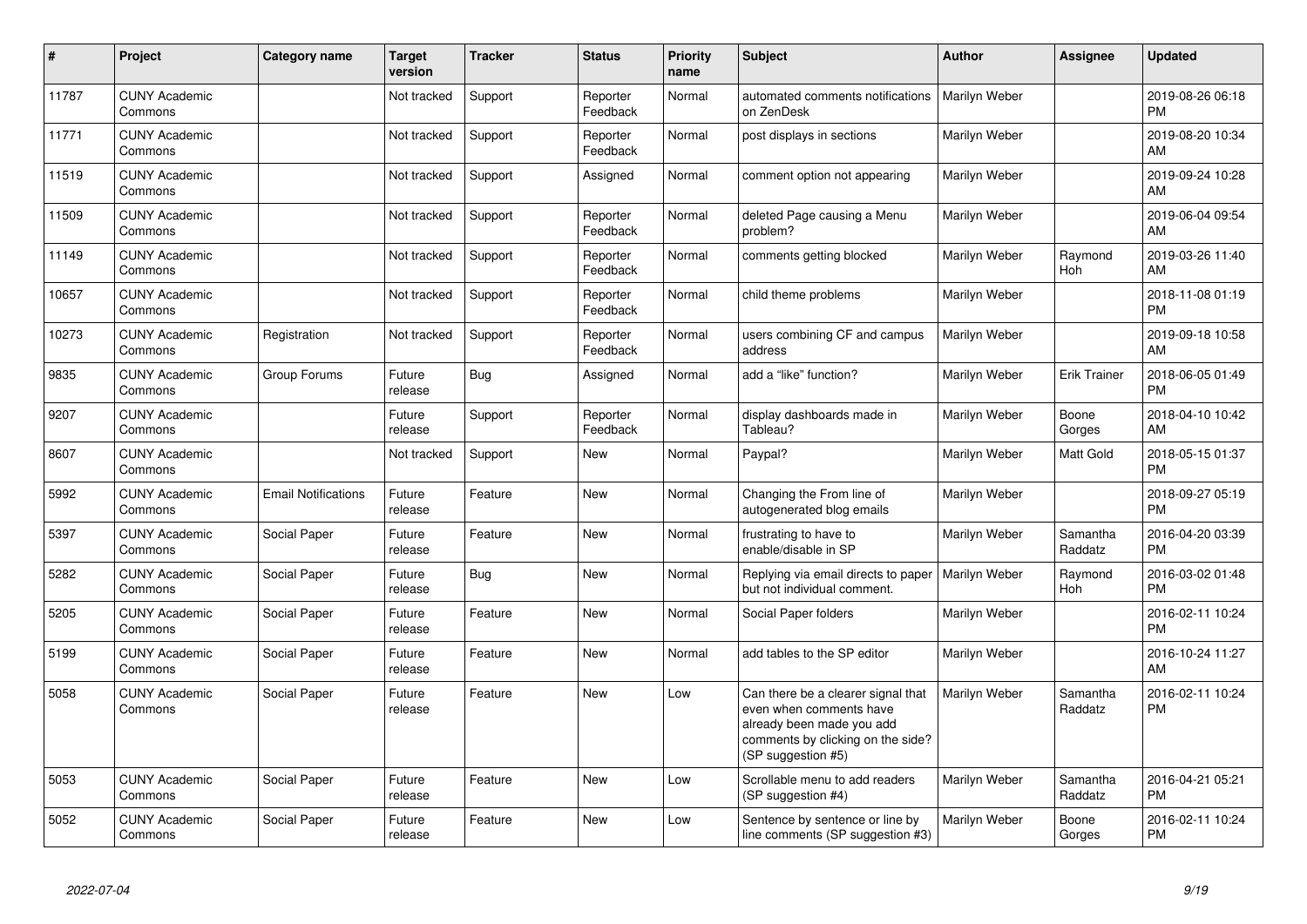| #     | Project                         | Category name              | <b>Target</b><br>version | <b>Tracker</b> | <b>Status</b>        | <b>Priority</b><br>name | <b>Subject</b>                                                                                                                                        | <b>Author</b> | Assignee            | <b>Updated</b>                |
|-------|---------------------------------|----------------------------|--------------------------|----------------|----------------------|-------------------------|-------------------------------------------------------------------------------------------------------------------------------------------------------|---------------|---------------------|-------------------------------|
| 11787 | <b>CUNY Academic</b><br>Commons |                            | Not tracked              | Support        | Reporter<br>Feedback | Normal                  | automated comments notifications<br>on ZenDesk                                                                                                        | Marilyn Weber |                     | 2019-08-26 06:18<br><b>PM</b> |
| 11771 | <b>CUNY Academic</b><br>Commons |                            | Not tracked              | Support        | Reporter<br>Feedback | Normal                  | post displays in sections                                                                                                                             | Marilyn Weber |                     | 2019-08-20 10:34<br>AM        |
| 11519 | <b>CUNY Academic</b><br>Commons |                            | Not tracked              | Support        | Assigned             | Normal                  | comment option not appearing                                                                                                                          | Marilyn Weber |                     | 2019-09-24 10:28<br>AM        |
| 11509 | <b>CUNY Academic</b><br>Commons |                            | Not tracked              | Support        | Reporter<br>Feedback | Normal                  | deleted Page causing a Menu<br>problem?                                                                                                               | Marilyn Weber |                     | 2019-06-04 09:54<br>AM        |
| 11149 | <b>CUNY Academic</b><br>Commons |                            | Not tracked              | Support        | Reporter<br>Feedback | Normal                  | comments getting blocked                                                                                                                              | Marilyn Weber | Raymond<br>Hoh      | 2019-03-26 11:40<br>AM        |
| 10657 | <b>CUNY Academic</b><br>Commons |                            | Not tracked              | Support        | Reporter<br>Feedback | Normal                  | child theme problems                                                                                                                                  | Marilyn Weber |                     | 2018-11-08 01:19<br><b>PM</b> |
| 10273 | <b>CUNY Academic</b><br>Commons | Registration               | Not tracked              | Support        | Reporter<br>Feedback | Normal                  | users combining CF and campus<br>address                                                                                                              | Marilyn Weber |                     | 2019-09-18 10:58<br>AM        |
| 9835  | <b>CUNY Academic</b><br>Commons | Group Forums               | Future<br>release        | Bug            | Assigned             | Normal                  | add a "like" function?                                                                                                                                | Marilyn Weber | <b>Erik Trainer</b> | 2018-06-05 01:49<br><b>PM</b> |
| 9207  | <b>CUNY Academic</b><br>Commons |                            | Future<br>release        | Support        | Reporter<br>Feedback | Normal                  | display dashboards made in<br>Tableau?                                                                                                                | Marilyn Weber | Boone<br>Gorges     | 2018-04-10 10:42<br>AM        |
| 8607  | <b>CUNY Academic</b><br>Commons |                            | Not tracked              | Support        | New                  | Normal                  | Paypal?                                                                                                                                               | Marilyn Weber | Matt Gold           | 2018-05-15 01:37<br><b>PM</b> |
| 5992  | <b>CUNY Academic</b><br>Commons | <b>Email Notifications</b> | Future<br>release        | Feature        | New                  | Normal                  | Changing the From line of<br>autogenerated blog emails                                                                                                | Marilyn Weber |                     | 2018-09-27 05:19<br><b>PM</b> |
| 5397  | <b>CUNY Academic</b><br>Commons | Social Paper               | Future<br>release        | Feature        | <b>New</b>           | Normal                  | frustrating to have to<br>enable/disable in SP                                                                                                        | Marilyn Weber | Samantha<br>Raddatz | 2016-04-20 03:39<br><b>PM</b> |
| 5282  | <b>CUNY Academic</b><br>Commons | Social Paper               | Future<br>release        | <b>Bug</b>     | <b>New</b>           | Normal                  | Replying via email directs to paper<br>but not individual comment.                                                                                    | Marilyn Weber | Raymond<br>Hoh      | 2016-03-02 01:48<br><b>PM</b> |
| 5205  | <b>CUNY Academic</b><br>Commons | Social Paper               | Future<br>release        | Feature        | <b>New</b>           | Normal                  | Social Paper folders                                                                                                                                  | Marilyn Weber |                     | 2016-02-11 10:24<br><b>PM</b> |
| 5199  | <b>CUNY Academic</b><br>Commons | Social Paper               | Future<br>release        | Feature        | <b>New</b>           | Normal                  | add tables to the SP editor                                                                                                                           | Marilyn Weber |                     | 2016-10-24 11:27<br>AM        |
| 5058  | <b>CUNY Academic</b><br>Commons | Social Paper               | Future<br>release        | Feature        | <b>New</b>           | Low                     | Can there be a clearer signal that<br>even when comments have<br>already been made you add<br>comments by clicking on the side?<br>(SP suggestion #5) | Marilyn Weber | Samantha<br>Raddatz | 2016-02-11 10:24<br><b>PM</b> |
| 5053  | <b>CUNY Academic</b><br>Commons | Social Paper               | Future<br>release        | Feature        | <b>New</b>           | Low                     | Scrollable menu to add readers<br>(SP suggestion #4)                                                                                                  | Marilyn Weber | Samantha<br>Raddatz | 2016-04-21 05:21<br><b>PM</b> |
| 5052  | <b>CUNY Academic</b><br>Commons | Social Paper               | Future<br>release        | Feature        | <b>New</b>           | Low                     | Sentence by sentence or line by<br>line comments (SP suggestion #3)                                                                                   | Marilyn Weber | Boone<br>Gorges     | 2016-02-11 10:24<br><b>PM</b> |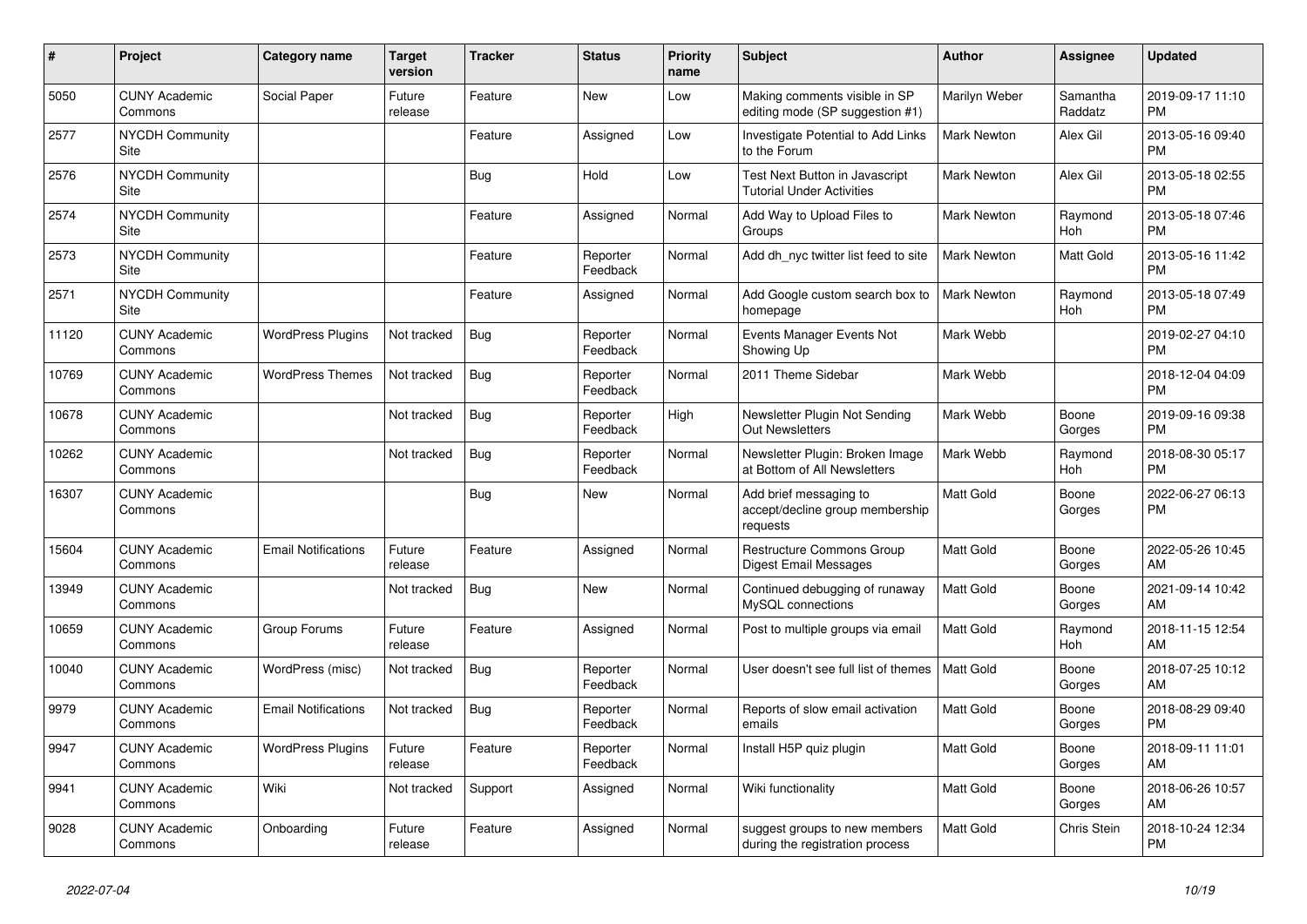| #     | Project                               | Category name              | <b>Target</b><br>version | <b>Tracker</b> | <b>Status</b>        | <b>Priority</b><br>name | <b>Subject</b>                                                        | <b>Author</b>      | Assignee            | <b>Updated</b>                |
|-------|---------------------------------------|----------------------------|--------------------------|----------------|----------------------|-------------------------|-----------------------------------------------------------------------|--------------------|---------------------|-------------------------------|
| 5050  | <b>CUNY Academic</b><br>Commons       | Social Paper               | Future<br>release        | Feature        | <b>New</b>           | Low                     | Making comments visible in SP<br>editing mode (SP suggestion #1)      | Marilyn Weber      | Samantha<br>Raddatz | 2019-09-17 11:10<br><b>PM</b> |
| 2577  | <b>NYCDH Community</b><br>Site        |                            |                          | Feature        | Assigned             | Low                     | Investigate Potential to Add Links<br>to the Forum                    | <b>Mark Newton</b> | Alex Gil            | 2013-05-16 09:40<br><b>PM</b> |
| 2576  | <b>NYCDH Community</b><br>Site        |                            |                          | Bug            | Hold                 | Low                     | Test Next Button in Javascript<br>Tutorial Under Activities           | Mark Newton        | Alex Gil            | 2013-05-18 02:55<br><b>PM</b> |
| 2574  | <b>NYCDH Community</b><br>Site        |                            |                          | Feature        | Assigned             | Normal                  | Add Way to Upload Files to<br>Groups                                  | Mark Newton        | Raymond<br>Hoh      | 2013-05-18 07:46<br><b>PM</b> |
| 2573  | <b>NYCDH Community</b><br>Site        |                            |                          | Feature        | Reporter<br>Feedback | Normal                  | Add dh nyc twitter list feed to site                                  | <b>Mark Newton</b> | Matt Gold           | 2013-05-16 11:42<br><b>PM</b> |
| 2571  | <b>NYCDH Community</b><br><b>Site</b> |                            |                          | Feature        | Assigned             | Normal                  | Add Google custom search box to<br>homepage                           | <b>Mark Newton</b> | Raymond<br>Hoh      | 2013-05-18 07:49<br><b>PM</b> |
| 11120 | <b>CUNY Academic</b><br>Commons       | <b>WordPress Plugins</b>   | Not tracked              | Bug            | Reporter<br>Feedback | Normal                  | Events Manager Events Not<br>Showing Up                               | Mark Webb          |                     | 2019-02-27 04:10<br><b>PM</b> |
| 10769 | <b>CUNY Academic</b><br>Commons       | <b>WordPress Themes</b>    | Not tracked              | Bug            | Reporter<br>Feedback | Normal                  | 2011 Theme Sidebar                                                    | Mark Webb          |                     | 2018-12-04 04:09<br><b>PM</b> |
| 10678 | <b>CUNY Academic</b><br>Commons       |                            | Not tracked              | Bug            | Reporter<br>Feedback | High                    | Newsletter Plugin Not Sending<br><b>Out Newsletters</b>               | Mark Webb          | Boone<br>Gorges     | 2019-09-16 09:38<br><b>PM</b> |
| 10262 | <b>CUNY Academic</b><br>Commons       |                            | Not tracked              | Bug            | Reporter<br>Feedback | Normal                  | Newsletter Plugin: Broken Image<br>at Bottom of All Newsletters       | Mark Webb          | Raymond<br>Hoh      | 2018-08-30 05:17<br><b>PM</b> |
| 16307 | <b>CUNY Academic</b><br>Commons       |                            |                          | Bug            | <b>New</b>           | Normal                  | Add brief messaging to<br>accept/decline group membership<br>requests | <b>Matt Gold</b>   | Boone<br>Gorges     | 2022-06-27 06:13<br><b>PM</b> |
| 15604 | <b>CUNY Academic</b><br>Commons       | <b>Email Notifications</b> | Future<br>release        | Feature        | Assigned             | Normal                  | <b>Restructure Commons Group</b><br>Digest Email Messages             | <b>Matt Gold</b>   | Boone<br>Gorges     | 2022-05-26 10:45<br>AM        |
| 13949 | <b>CUNY Academic</b><br>Commons       |                            | Not tracked              | Bug            | <b>New</b>           | Normal                  | Continued debugging of runaway<br>MySQL connections                   | <b>Matt Gold</b>   | Boone<br>Gorges     | 2021-09-14 10:42<br>AM        |
| 10659 | <b>CUNY Academic</b><br>Commons       | Group Forums               | Future<br>release        | Feature        | Assigned             | Normal                  | Post to multiple groups via email                                     | <b>Matt Gold</b>   | Raymond<br>Hoh      | 2018-11-15 12:54<br>AM        |
| 10040 | <b>CUNY Academic</b><br>Commons       | WordPress (misc)           | Not tracked              | Bug            | Reporter<br>Feedback | Normal                  | User doesn't see full list of themes                                  | l Matt Gold        | Boone<br>Gorges     | 2018-07-25 10:12<br>AM        |
| 9979  | <b>CUNY Academic</b><br>Commons       | <b>Email Notifications</b> | Not tracked              | Bug            | Reporter<br>Feedback | Normal                  | Reports of slow email activation<br>emails                            | Matt Gold          | Boone<br>Gorges     | 2018-08-29 09:40<br><b>PM</b> |
| 9947  | <b>CUNY Academic</b><br>Commons       | <b>WordPress Plugins</b>   | Future<br>release        | Feature        | Reporter<br>Feedback | Normal                  | Install H5P quiz plugin                                               | <b>Matt Gold</b>   | Boone<br>Gorges     | 2018-09-11 11:01<br>AM        |
| 9941  | <b>CUNY Academic</b><br>Commons       | Wiki                       | Not tracked              | Support        | Assigned             | Normal                  | Wiki functionality                                                    | <b>Matt Gold</b>   | Boone<br>Gorges     | 2018-06-26 10:57<br>AM        |
| 9028  | <b>CUNY Academic</b><br>Commons       | Onboarding                 | Future<br>release        | Feature        | Assigned             | Normal                  | suggest groups to new members<br>during the registration process      | <b>Matt Gold</b>   | Chris Stein         | 2018-10-24 12:34<br><b>PM</b> |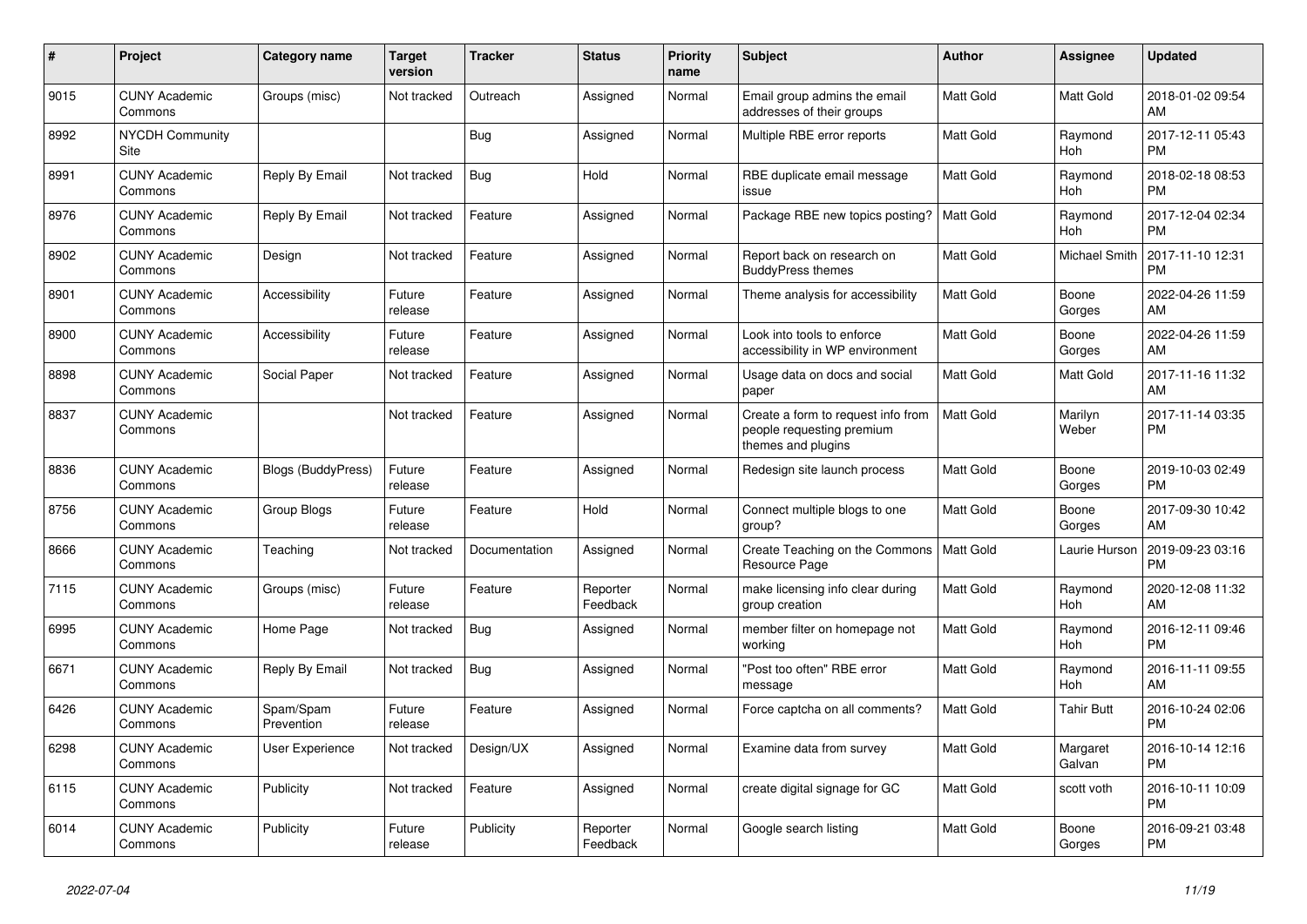| $\pmb{\#}$ | <b>Project</b>                  | Category name             | <b>Target</b><br>version | <b>Tracker</b> | <b>Status</b>        | <b>Priority</b><br>name | <b>Subject</b>                                                                        | <b>Author</b>    | Assignee           | <b>Updated</b>                |
|------------|---------------------------------|---------------------------|--------------------------|----------------|----------------------|-------------------------|---------------------------------------------------------------------------------------|------------------|--------------------|-------------------------------|
| 9015       | <b>CUNY Academic</b><br>Commons | Groups (misc)             | Not tracked              | Outreach       | Assigned             | Normal                  | Email group admins the email<br>addresses of their groups                             | <b>Matt Gold</b> | Matt Gold          | 2018-01-02 09:54<br>AM        |
| 8992       | <b>NYCDH Community</b><br>Site  |                           |                          | <b>Bug</b>     | Assigned             | Normal                  | Multiple RBE error reports                                                            | Matt Gold        | Raymond<br>Hoh     | 2017-12-11 05:43<br><b>PM</b> |
| 8991       | <b>CUNY Academic</b><br>Commons | Reply By Email            | Not tracked              | Bug            | Hold                 | Normal                  | RBE duplicate email message<br>issue                                                  | <b>Matt Gold</b> | Raymond<br>Hoh     | 2018-02-18 08:53<br><b>PM</b> |
| 8976       | <b>CUNY Academic</b><br>Commons | Reply By Email            | Not tracked              | Feature        | Assigned             | Normal                  | Package RBE new topics posting?                                                       | <b>Matt Gold</b> | Raymond<br>Hoh     | 2017-12-04 02:34<br><b>PM</b> |
| 8902       | <b>CUNY Academic</b><br>Commons | Design                    | Not tracked              | Feature        | Assigned             | Normal                  | Report back on research on<br><b>BuddyPress themes</b>                                | Matt Gold        | Michael Smith      | 2017-11-10 12:31<br><b>PM</b> |
| 8901       | <b>CUNY Academic</b><br>Commons | Accessibility             | Future<br>release        | Feature        | Assigned             | Normal                  | Theme analysis for accessibility                                                      | Matt Gold        | Boone<br>Gorges    | 2022-04-26 11:59<br>AM        |
| 8900       | <b>CUNY Academic</b><br>Commons | Accessibility             | Future<br>release        | Feature        | Assigned             | Normal                  | Look into tools to enforce<br>accessibility in WP environment                         | <b>Matt Gold</b> | Boone<br>Gorges    | 2022-04-26 11:59<br>AM        |
| 8898       | <b>CUNY Academic</b><br>Commons | Social Paper              | Not tracked              | Feature        | Assigned             | Normal                  | Usage data on docs and social<br>paper                                                | <b>Matt Gold</b> | Matt Gold          | 2017-11-16 11:32<br>AM        |
| 8837       | <b>CUNY Academic</b><br>Commons |                           | Not tracked              | Feature        | Assigned             | Normal                  | Create a form to request info from<br>people requesting premium<br>themes and plugins | <b>Matt Gold</b> | Marilyn<br>Weber   | 2017-11-14 03:35<br><b>PM</b> |
| 8836       | <b>CUNY Academic</b><br>Commons | <b>Blogs (BuddyPress)</b> | Future<br>release        | Feature        | Assigned             | Normal                  | Redesign site launch process                                                          | <b>Matt Gold</b> | Boone<br>Gorges    | 2019-10-03 02:49<br><b>PM</b> |
| 8756       | <b>CUNY Academic</b><br>Commons | Group Blogs               | Future<br>release        | Feature        | Hold                 | Normal                  | Connect multiple blogs to one<br>group?                                               | Matt Gold        | Boone<br>Gorges    | 2017-09-30 10:42<br>AM        |
| 8666       | <b>CUNY Academic</b><br>Commons | Teaching                  | Not tracked              | Documentation  | Assigned             | Normal                  | Create Teaching on the Commons<br>Resource Page                                       | Matt Gold        | Laurie Hurson      | 2019-09-23 03:16<br><b>PM</b> |
| 7115       | <b>CUNY Academic</b><br>Commons | Groups (misc)             | Future<br>release        | Feature        | Reporter<br>Feedback | Normal                  | make licensing info clear during<br>group creation                                    | <b>Matt Gold</b> | Raymond<br>Hoh     | 2020-12-08 11:32<br>AM        |
| 6995       | <b>CUNY Academic</b><br>Commons | Home Page                 | Not tracked              | Bug            | Assigned             | Normal                  | member filter on homepage not<br>working                                              | Matt Gold        | Raymond<br>Hoh     | 2016-12-11 09:46<br><b>PM</b> |
| 6671       | <b>CUNY Academic</b><br>Commons | Reply By Email            | Not tracked              | <b>Bug</b>     | Assigned             | Normal                  | "Post too often" RBE error<br>message                                                 | Matt Gold        | Raymond<br>Hoh     | 2016-11-11 09:55<br>AM        |
| 6426       | <b>CUNY Academic</b><br>Commons | Spam/Spam<br>Prevention   | Future<br>release        | Feature        | Assigned             | Normal                  | Force captcha on all comments?                                                        | <b>Matt Gold</b> | <b>Tahir Butt</b>  | 2016-10-24 02:06<br><b>PM</b> |
| 6298       | <b>CUNY Academic</b><br>Commons | User Experience           | Not tracked              | Design/UX      | Assigned             | Normal                  | Examine data from survey                                                              | <b>Matt Gold</b> | Margaret<br>Galvan | 2016-10-14 12:16<br><b>PM</b> |
| 6115       | <b>CUNY Academic</b><br>Commons | Publicity                 | Not tracked              | Feature        | Assigned             | Normal                  | create digital signage for GC                                                         | Matt Gold        | scott voth         | 2016-10-11 10:09<br><b>PM</b> |
| 6014       | <b>CUNY Academic</b><br>Commons | Publicity                 | Future<br>release        | Publicity      | Reporter<br>Feedback | Normal                  | Google search listing                                                                 | <b>Matt Gold</b> | Boone<br>Gorges    | 2016-09-21 03:48<br><b>PM</b> |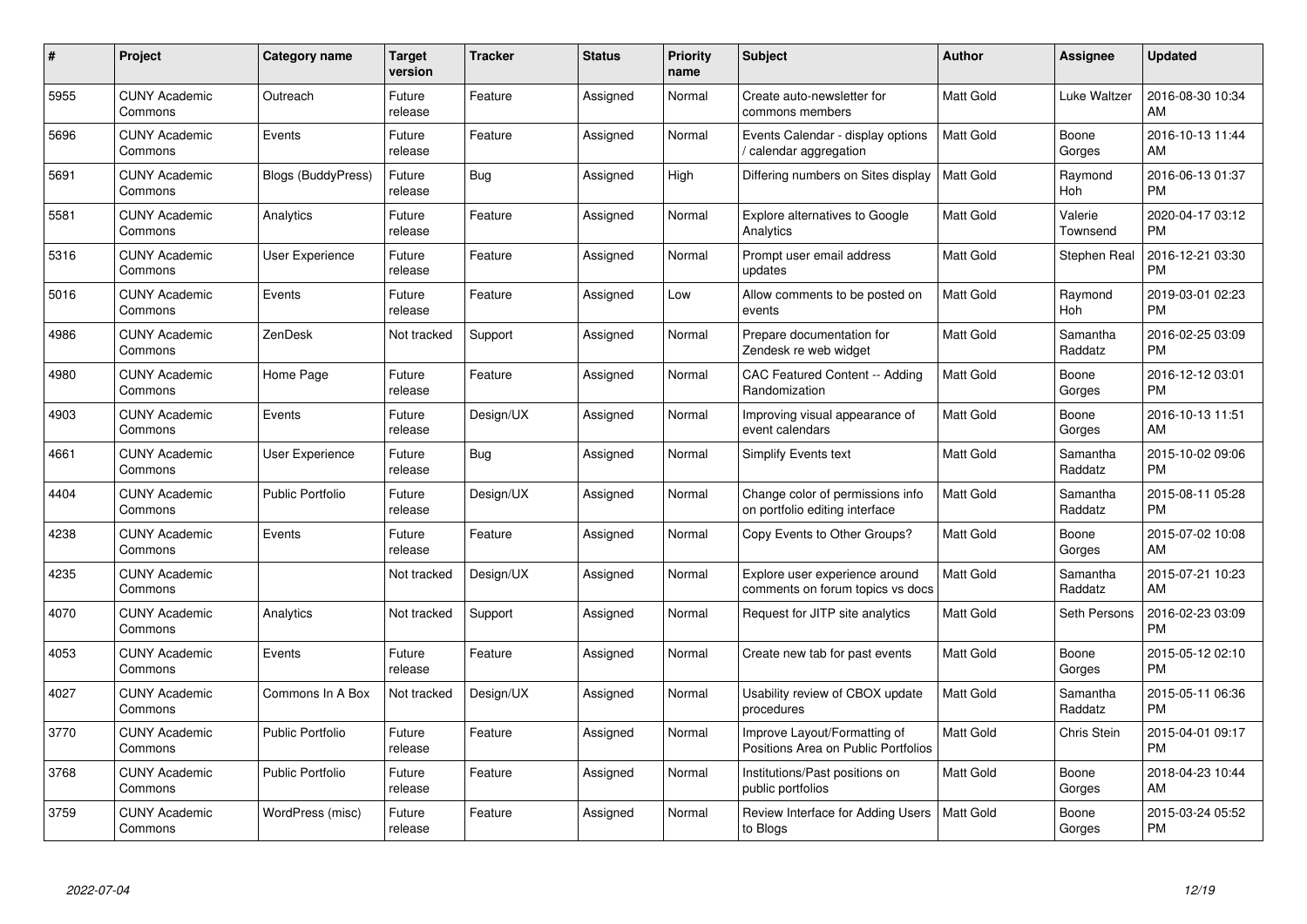| $\#$ | Project                         | <b>Category name</b>      | <b>Target</b><br>version | <b>Tracker</b> | <b>Status</b> | <b>Priority</b><br>name | <b>Subject</b>                                                      | <b>Author</b>    | Assignee            | <b>Updated</b>                |
|------|---------------------------------|---------------------------|--------------------------|----------------|---------------|-------------------------|---------------------------------------------------------------------|------------------|---------------------|-------------------------------|
| 5955 | <b>CUNY Academic</b><br>Commons | Outreach                  | Future<br>release        | Feature        | Assigned      | Normal                  | Create auto-newsletter for<br>commons members                       | <b>Matt Gold</b> | Luke Waltzer        | 2016-08-30 10:34<br>AM        |
| 5696 | <b>CUNY Academic</b><br>Commons | Events                    | Future<br>release        | Feature        | Assigned      | Normal                  | Events Calendar - display options<br>calendar aggregation /         | <b>Matt Gold</b> | Boone<br>Gorges     | 2016-10-13 11:44<br>AM        |
| 5691 | <b>CUNY Academic</b><br>Commons | <b>Blogs (BuddyPress)</b> | Future<br>release        | Bug            | Assigned      | High                    | Differing numbers on Sites display                                  | <b>Matt Gold</b> | Raymond<br>Hoh      | 2016-06-13 01:37<br><b>PM</b> |
| 5581 | <b>CUNY Academic</b><br>Commons | Analytics                 | Future<br>release        | Feature        | Assigned      | Normal                  | Explore alternatives to Google<br>Analytics                         | Matt Gold        | Valerie<br>Townsend | 2020-04-17 03:12<br><b>PM</b> |
| 5316 | <b>CUNY Academic</b><br>Commons | <b>User Experience</b>    | Future<br>release        | Feature        | Assigned      | Normal                  | Prompt user email address<br>updates                                | <b>Matt Gold</b> | Stephen Real        | 2016-12-21 03:30<br><b>PM</b> |
| 5016 | <b>CUNY Academic</b><br>Commons | Events                    | Future<br>release        | Feature        | Assigned      | Low                     | Allow comments to be posted on<br>events                            | <b>Matt Gold</b> | Raymond<br>Hoh      | 2019-03-01 02:23<br><b>PM</b> |
| 4986 | <b>CUNY Academic</b><br>Commons | ZenDesk                   | Not tracked              | Support        | Assigned      | Normal                  | Prepare documentation for<br>Zendesk re web widget                  | Matt Gold        | Samantha<br>Raddatz | 2016-02-25 03:09<br><b>PM</b> |
| 4980 | <b>CUNY Academic</b><br>Commons | Home Page                 | Future<br>release        | Feature        | Assigned      | Normal                  | CAC Featured Content -- Adding<br>Randomization                     | Matt Gold        | Boone<br>Gorges     | 2016-12-12 03:01<br><b>PM</b> |
| 4903 | <b>CUNY Academic</b><br>Commons | Events                    | Future<br>release        | Design/UX      | Assigned      | Normal                  | Improving visual appearance of<br>event calendars                   | <b>Matt Gold</b> | Boone<br>Gorges     | 2016-10-13 11:51<br>AM        |
| 4661 | <b>CUNY Academic</b><br>Commons | User Experience           | Future<br>release        | Bug            | Assigned      | Normal                  | <b>Simplify Events text</b>                                         | Matt Gold        | Samantha<br>Raddatz | 2015-10-02 09:06<br><b>PM</b> |
| 4404 | <b>CUNY Academic</b><br>Commons | <b>Public Portfolio</b>   | Future<br>release        | Design/UX      | Assigned      | Normal                  | Change color of permissions info<br>on portfolio editing interface  | Matt Gold        | Samantha<br>Raddatz | 2015-08-11 05:28<br><b>PM</b> |
| 4238 | <b>CUNY Academic</b><br>Commons | Events                    | Future<br>release        | Feature        | Assigned      | Normal                  | Copy Events to Other Groups?                                        | Matt Gold        | Boone<br>Gorges     | 2015-07-02 10:08<br>AM        |
| 4235 | <b>CUNY Academic</b><br>Commons |                           | Not tracked              | Design/UX      | Assigned      | Normal                  | Explore user experience around<br>comments on forum topics vs docs  | <b>Matt Gold</b> | Samantha<br>Raddatz | 2015-07-21 10:23<br>AM        |
| 4070 | <b>CUNY Academic</b><br>Commons | Analytics                 | Not tracked              | Support        | Assigned      | Normal                  | Request for JITP site analytics                                     | Matt Gold        | Seth Persons        | 2016-02-23 03:09<br><b>PM</b> |
| 4053 | <b>CUNY Academic</b><br>Commons | Events                    | Future<br>release        | Feature        | Assigned      | Normal                  | Create new tab for past events                                      | Matt Gold        | Boone<br>Gorges     | 2015-05-12 02:10<br><b>PM</b> |
| 4027 | <b>CUNY Academic</b><br>Commons | Commons In A Box          | Not tracked              | Design/UX      | Assigned      | Normal                  | Usability review of CBOX update<br>procedures                       | <b>Matt Gold</b> | Samantha<br>Raddatz | 2015-05-11 06:36<br><b>PM</b> |
| 3770 | <b>CUNY Academic</b><br>Commons | Public Portfolio          | Future<br>release        | Feature        | Assigned      | Normal                  | Improve Layout/Formatting of<br>Positions Area on Public Portfolios | Matt Gold        | <b>Chris Stein</b>  | 2015-04-01 09:17<br><b>PM</b> |
| 3768 | <b>CUNY Academic</b><br>Commons | Public Portfolio          | Future<br>release        | Feature        | Assigned      | Normal                  | Institutions/Past positions on<br>public portfolios                 | Matt Gold        | Boone<br>Gorges     | 2018-04-23 10:44<br>AM        |
| 3759 | <b>CUNY Academic</b><br>Commons | WordPress (misc)          | Future<br>release        | Feature        | Assigned      | Normal                  | Review Interface for Adding Users<br>to Blogs                       | <b>Matt Gold</b> | Boone<br>Gorges     | 2015-03-24 05:52<br><b>PM</b> |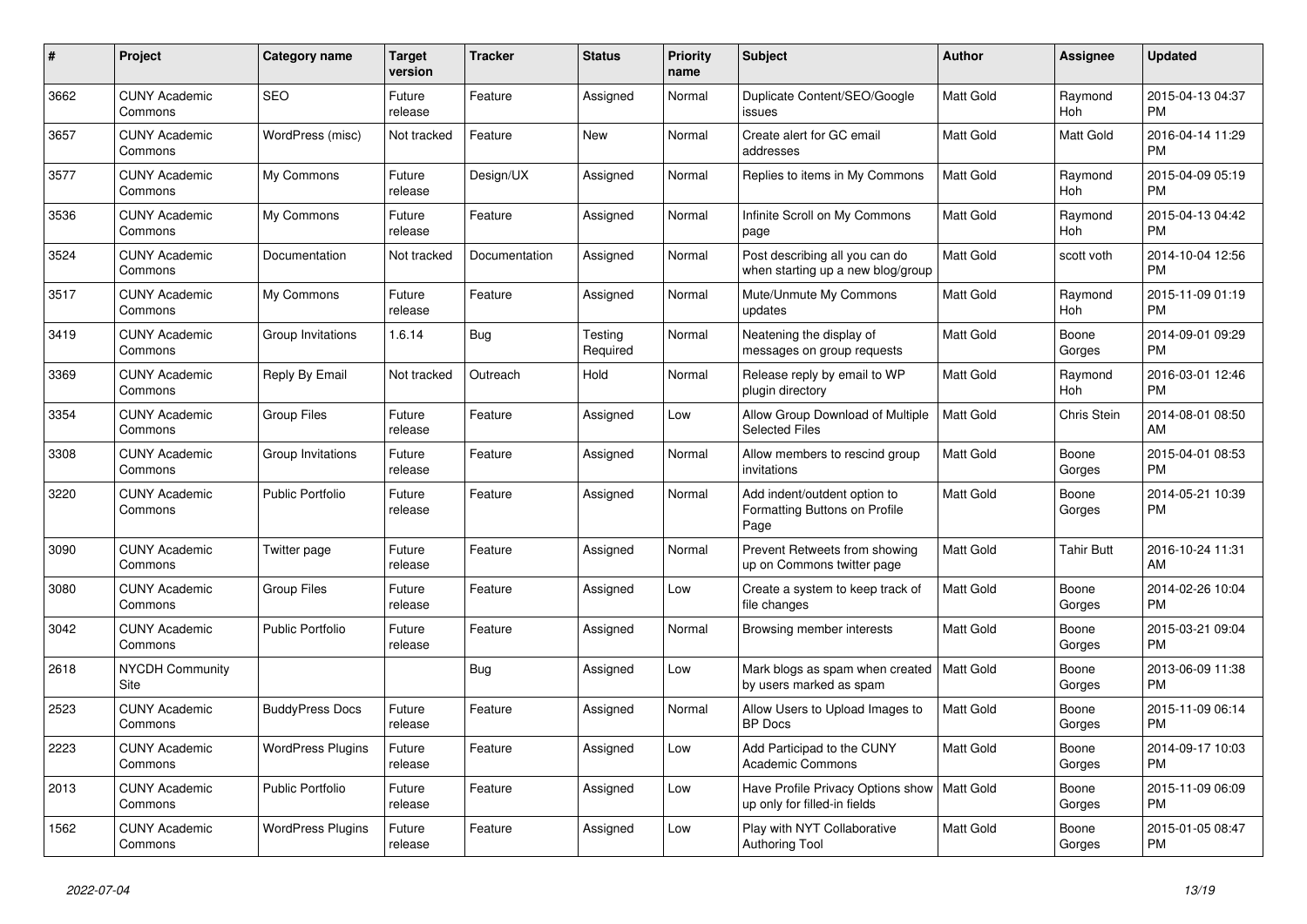| $\#$ | Project                         | <b>Category name</b>     | <b>Target</b><br>version | <b>Tracker</b> | <b>Status</b>       | <b>Priority</b><br>name | <b>Subject</b>                                                                | <b>Author</b>    | <b>Assignee</b>       | <b>Updated</b>                |
|------|---------------------------------|--------------------------|--------------------------|----------------|---------------------|-------------------------|-------------------------------------------------------------------------------|------------------|-----------------------|-------------------------------|
| 3662 | <b>CUNY Academic</b><br>Commons | <b>SEO</b>               | Future<br>release        | Feature        | Assigned            | Normal                  | Duplicate Content/SEO/Google<br>issues                                        | Matt Gold        | Raymond<br>Hoh        | 2015-04-13 04:37<br><b>PM</b> |
| 3657 | <b>CUNY Academic</b><br>Commons | WordPress (misc)         | Not tracked              | Feature        | New                 | Normal                  | Create alert for GC email<br>addresses                                        | Matt Gold        | Matt Gold             | 2016-04-14 11:29<br><b>PM</b> |
| 3577 | <b>CUNY Academic</b><br>Commons | My Commons               | Future<br>release        | Design/UX      | Assigned            | Normal                  | Replies to items in My Commons                                                | <b>Matt Gold</b> | Raymond<br><b>Hoh</b> | 2015-04-09 05:19<br><b>PM</b> |
| 3536 | <b>CUNY Academic</b><br>Commons | My Commons               | Future<br>release        | Feature        | Assigned            | Normal                  | Infinite Scroll on My Commons<br>page                                         | Matt Gold        | Raymond<br>Hoh        | 2015-04-13 04:42<br><b>PM</b> |
| 3524 | <b>CUNY Academic</b><br>Commons | Documentation            | Not tracked              | Documentation  | Assigned            | Normal                  | Post describing all you can do<br>when starting up a new blog/group           | Matt Gold        | scott voth            | 2014-10-04 12:56<br><b>PM</b> |
| 3517 | <b>CUNY Academic</b><br>Commons | My Commons               | Future<br>release        | Feature        | Assigned            | Normal                  | Mute/Unmute My Commons<br>updates                                             | <b>Matt Gold</b> | Raymond<br>Hoh        | 2015-11-09 01:19<br><b>PM</b> |
| 3419 | <b>CUNY Academic</b><br>Commons | Group Invitations        | 1.6.14                   | Bug            | Testing<br>Required | Normal                  | Neatening the display of<br>messages on group requests                        | <b>Matt Gold</b> | Boone<br>Gorges       | 2014-09-01 09:29<br><b>PM</b> |
| 3369 | <b>CUNY Academic</b><br>Commons | Reply By Email           | Not tracked              | Outreach       | Hold                | Normal                  | Release reply by email to WP<br>plugin directory                              | <b>Matt Gold</b> | Raymond<br>Hoh        | 2016-03-01 12:46<br><b>PM</b> |
| 3354 | <b>CUNY Academic</b><br>Commons | <b>Group Files</b>       | Future<br>release        | Feature        | Assigned            | Low                     | Allow Group Download of Multiple<br><b>Selected Files</b>                     | Matt Gold        | Chris Stein           | 2014-08-01 08:50<br>AM        |
| 3308 | <b>CUNY Academic</b><br>Commons | Group Invitations        | Future<br>release        | Feature        | Assigned            | Normal                  | Allow members to rescind group<br>invitations                                 | <b>Matt Gold</b> | Boone<br>Gorges       | 2015-04-01 08:53<br><b>PM</b> |
| 3220 | <b>CUNY Academic</b><br>Commons | <b>Public Portfolio</b>  | Future<br>release        | Feature        | Assigned            | Normal                  | Add indent/outdent option to<br>Formatting Buttons on Profile<br>Page         | <b>Matt Gold</b> | Boone<br>Gorges       | 2014-05-21 10:39<br><b>PM</b> |
| 3090 | <b>CUNY Academic</b><br>Commons | Twitter page             | Future<br>release        | Feature        | Assigned            | Normal                  | Prevent Retweets from showing<br>up on Commons twitter page                   | <b>Matt Gold</b> | Tahir Butt            | 2016-10-24 11:31<br>AM        |
| 3080 | <b>CUNY Academic</b><br>Commons | <b>Group Files</b>       | Future<br>release        | Feature        | Assigned            | Low                     | Create a system to keep track of<br>file changes                              | Matt Gold        | Boone<br>Gorges       | 2014-02-26 10:04<br><b>PM</b> |
| 3042 | <b>CUNY Academic</b><br>Commons | <b>Public Portfolio</b>  | Future<br>release        | Feature        | Assigned            | Normal                  | Browsing member interests                                                     | Matt Gold        | Boone<br>Gorges       | 2015-03-21 09:04<br><b>PM</b> |
| 2618 | <b>NYCDH Community</b><br>Site  |                          |                          | Bug            | Assigned            | Low                     | Mark blogs as spam when created   Matt Gold<br>by users marked as spam        |                  | Boone<br>Gorges       | 2013-06-09 11:38<br><b>PM</b> |
| 2523 | <b>CUNY Academic</b><br>Commons | <b>BuddyPress Docs</b>   | Future<br>release        | Feature        | Assigned            | Normal                  | Allow Users to Upload Images to<br><b>BP</b> Docs                             | Matt Gold        | Boone<br>Gorges       | 2015-11-09 06:14<br><b>PM</b> |
| 2223 | <b>CUNY Academic</b><br>Commons | <b>WordPress Plugins</b> | Future<br>release        | Feature        | Assigned            | Low                     | Add Participad to the CUNY<br><b>Academic Commons</b>                         | <b>Matt Gold</b> | Boone<br>Gorges       | 2014-09-17 10:03<br><b>PM</b> |
| 2013 | <b>CUNY Academic</b><br>Commons | <b>Public Portfolio</b>  | Future<br>release        | Feature        | Assigned            | Low                     | Have Profile Privacy Options show   Matt Gold<br>up only for filled-in fields |                  | Boone<br>Gorges       | 2015-11-09 06:09<br><b>PM</b> |
| 1562 | <b>CUNY Academic</b><br>Commons | <b>WordPress Plugins</b> | Future<br>release        | Feature        | Assigned            | Low                     | Play with NYT Collaborative<br>Authoring Tool                                 | Matt Gold        | Boone<br>Gorges       | 2015-01-05 08:47<br><b>PM</b> |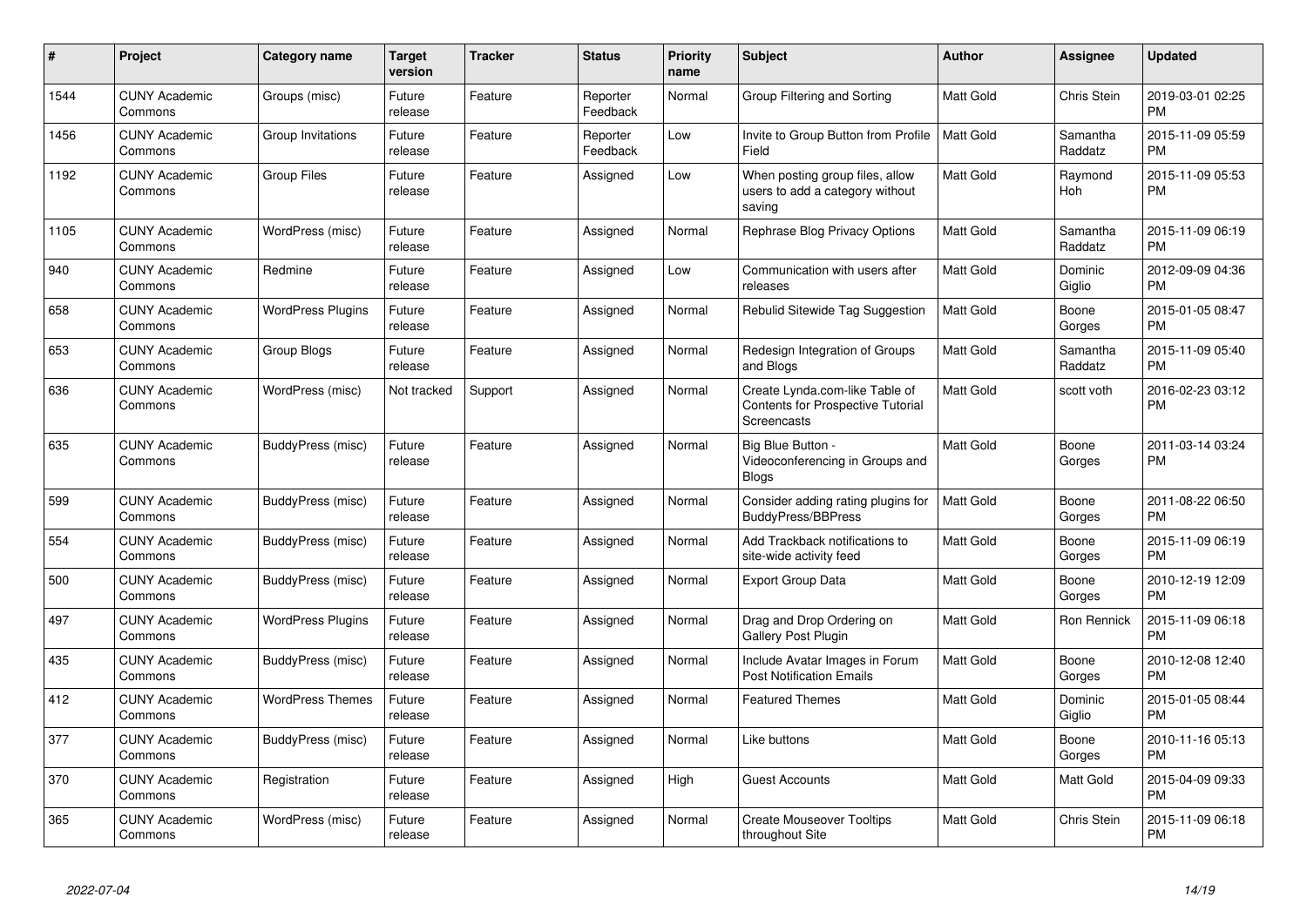| #    | Project                         | <b>Category name</b>     | <b>Target</b><br>version | <b>Tracker</b> | <b>Status</b>        | <b>Priority</b><br>name | <b>Subject</b>                                                                            | <b>Author</b>    | <b>Assignee</b>     | <b>Updated</b>                |
|------|---------------------------------|--------------------------|--------------------------|----------------|----------------------|-------------------------|-------------------------------------------------------------------------------------------|------------------|---------------------|-------------------------------|
| 1544 | <b>CUNY Academic</b><br>Commons | Groups (misc)            | Future<br>release        | Feature        | Reporter<br>Feedback | Normal                  | Group Filtering and Sorting                                                               | <b>Matt Gold</b> | Chris Stein         | 2019-03-01 02:25<br><b>PM</b> |
| 1456 | <b>CUNY Academic</b><br>Commons | Group Invitations        | Future<br>release        | Feature        | Reporter<br>Feedback | Low                     | Invite to Group Button from Profile<br>Field                                              | Matt Gold        | Samantha<br>Raddatz | 2015-11-09 05:59<br><b>PM</b> |
| 1192 | <b>CUNY Academic</b><br>Commons | <b>Group Files</b>       | Future<br>release        | Feature        | Assigned             | Low                     | When posting group files, allow<br>users to add a category without<br>saving              | <b>Matt Gold</b> | Raymond<br>Hoh      | 2015-11-09 05:53<br><b>PM</b> |
| 1105 | <b>CUNY Academic</b><br>Commons | WordPress (misc)         | Future<br>release        | Feature        | Assigned             | Normal                  | Rephrase Blog Privacy Options                                                             | <b>Matt Gold</b> | Samantha<br>Raddatz | 2015-11-09 06:19<br><b>PM</b> |
| 940  | <b>CUNY Academic</b><br>Commons | Redmine                  | Future<br>release        | Feature        | Assigned             | Low                     | Communication with users after<br>releases                                                | Matt Gold        | Dominic<br>Giglio   | 2012-09-09 04:36<br><b>PM</b> |
| 658  | <b>CUNY Academic</b><br>Commons | <b>WordPress Plugins</b> | Future<br>release        | Feature        | Assigned             | Normal                  | Rebulid Sitewide Tag Suggestion                                                           | <b>Matt Gold</b> | Boone<br>Gorges     | 2015-01-05 08:47<br><b>PM</b> |
| 653  | <b>CUNY Academic</b><br>Commons | Group Blogs              | Future<br>release        | Feature        | Assigned             | Normal                  | Redesign Integration of Groups<br>and Blogs                                               | Matt Gold        | Samantha<br>Raddatz | 2015-11-09 05:40<br><b>PM</b> |
| 636  | <b>CUNY Academic</b><br>Commons | WordPress (misc)         | Not tracked              | Support        | Assigned             | Normal                  | Create Lynda.com-like Table of<br><b>Contents for Prospective Tutorial</b><br>Screencasts | <b>Matt Gold</b> | scott voth          | 2016-02-23 03:12<br><b>PM</b> |
| 635  | <b>CUNY Academic</b><br>Commons | BuddyPress (misc)        | Future<br>release        | Feature        | Assigned             | Normal                  | Big Blue Button -<br>Videoconferencing in Groups and<br><b>Blogs</b>                      | <b>Matt Gold</b> | Boone<br>Gorges     | 2011-03-14 03:24<br><b>PM</b> |
| 599  | <b>CUNY Academic</b><br>Commons | BuddyPress (misc)        | Future<br>release        | Feature        | Assigned             | Normal                  | Consider adding rating plugins for<br><b>BuddyPress/BBPress</b>                           | <b>Matt Gold</b> | Boone<br>Gorges     | 2011-08-22 06:50<br><b>PM</b> |
| 554  | <b>CUNY Academic</b><br>Commons | BuddyPress (misc)        | Future<br>release        | Feature        | Assigned             | Normal                  | Add Trackback notifications to<br>site-wide activity feed                                 | <b>Matt Gold</b> | Boone<br>Gorges     | 2015-11-09 06:19<br><b>PM</b> |
| 500  | <b>CUNY Academic</b><br>Commons | BuddyPress (misc)        | Future<br>release        | Feature        | Assigned             | Normal                  | <b>Export Group Data</b>                                                                  | <b>Matt Gold</b> | Boone<br>Gorges     | 2010-12-19 12:09<br><b>PM</b> |
| 497  | <b>CUNY Academic</b><br>Commons | <b>WordPress Plugins</b> | Future<br>release        | Feature        | Assigned             | Normal                  | Drag and Drop Ordering on<br>Gallery Post Plugin                                          | <b>Matt Gold</b> | Ron Rennick         | 2015-11-09 06:18<br><b>PM</b> |
| 435  | <b>CUNY Academic</b><br>Commons | BuddyPress (misc)        | Future<br>release        | Feature        | Assigned             | Normal                  | Include Avatar Images in Forum<br><b>Post Notification Emails</b>                         | <b>Matt Gold</b> | Boone<br>Gorges     | 2010-12-08 12:40<br><b>PM</b> |
| 412  | <b>CUNY Academic</b><br>Commons | <b>WordPress Themes</b>  | Future<br>release        | Feature        | Assigned             | Normal                  | <b>Featured Themes</b>                                                                    | <b>Matt Gold</b> | Dominic<br>Giglio   | 2015-01-05 08:44<br><b>PM</b> |
| 377  | <b>CUNY Academic</b><br>Commons | BuddyPress (misc)        | Future<br>release        | Feature        | Assigned             | Normal                  | Like buttons                                                                              | <b>Matt Gold</b> | Boone<br>Gorges     | 2010-11-16 05:13<br><b>PM</b> |
| 370  | <b>CUNY Academic</b><br>Commons | Registration             | Future<br>release        | Feature        | Assigned             | High                    | <b>Guest Accounts</b>                                                                     | Matt Gold        | Matt Gold           | 2015-04-09 09:33<br><b>PM</b> |
| 365  | <b>CUNY Academic</b><br>Commons | WordPress (misc)         | Future<br>release        | Feature        | Assigned             | Normal                  | <b>Create Mouseover Tooltips</b><br>throughout Site                                       | <b>Matt Gold</b> | Chris Stein         | 2015-11-09 06:18<br><b>PM</b> |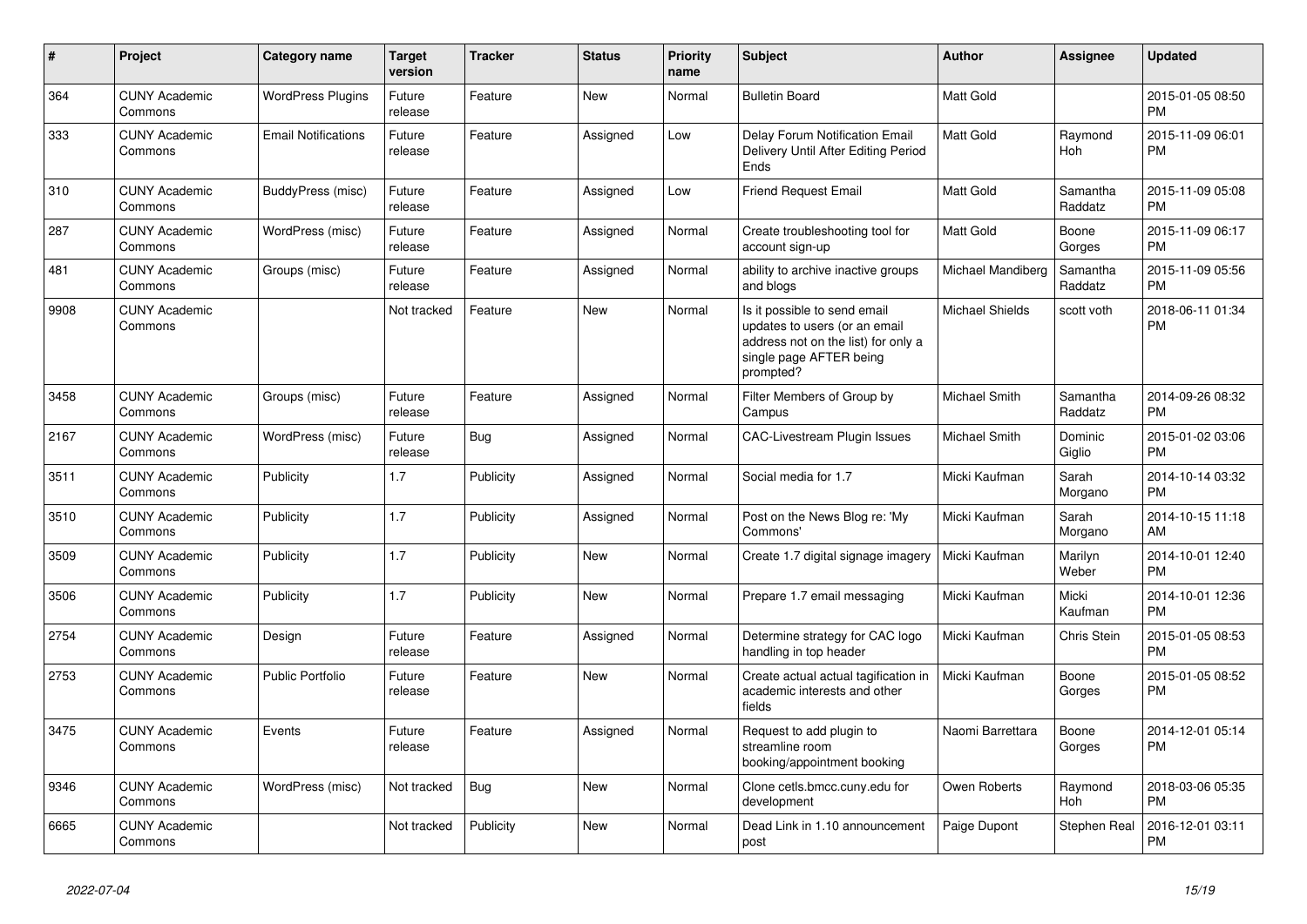| #    | Project                         | <b>Category name</b>       | <b>Target</b><br>version | <b>Tracker</b> | <b>Status</b> | <b>Priority</b><br>name | <b>Subject</b>                                                                                                                               | <b>Author</b>          | <b>Assignee</b>     | <b>Updated</b>                |
|------|---------------------------------|----------------------------|--------------------------|----------------|---------------|-------------------------|----------------------------------------------------------------------------------------------------------------------------------------------|------------------------|---------------------|-------------------------------|
| 364  | <b>CUNY Academic</b><br>Commons | <b>WordPress Plugins</b>   | Future<br>release        | Feature        | <b>New</b>    | Normal                  | <b>Bulletin Board</b>                                                                                                                        | <b>Matt Gold</b>       |                     | 2015-01-05 08:50<br><b>PM</b> |
| 333  | <b>CUNY Academic</b><br>Commons | <b>Email Notifications</b> | Future<br>release        | Feature        | Assigned      | Low                     | Delay Forum Notification Email<br>Delivery Until After Editing Period<br>Ends                                                                | <b>Matt Gold</b>       | Raymond<br>Hoh      | 2015-11-09 06:01<br><b>PM</b> |
| 310  | <b>CUNY Academic</b><br>Commons | BuddyPress (misc)          | Future<br>release        | Feature        | Assigned      | Low                     | <b>Friend Request Email</b>                                                                                                                  | <b>Matt Gold</b>       | Samantha<br>Raddatz | 2015-11-09 05:08<br><b>PM</b> |
| 287  | <b>CUNY Academic</b><br>Commons | WordPress (misc)           | Future<br>release        | Feature        | Assigned      | Normal                  | Create troubleshooting tool for<br>account sign-up                                                                                           | <b>Matt Gold</b>       | Boone<br>Gorges     | 2015-11-09 06:17<br><b>PM</b> |
| 481  | <b>CUNY Academic</b><br>Commons | Groups (misc)              | Future<br>release        | Feature        | Assigned      | Normal                  | ability to archive inactive groups<br>and blogs                                                                                              | Michael Mandiberg      | Samantha<br>Raddatz | 2015-11-09 05:56<br><b>PM</b> |
| 9908 | <b>CUNY Academic</b><br>Commons |                            | Not tracked              | Feature        | <b>New</b>    | Normal                  | Is it possible to send email<br>updates to users (or an email<br>address not on the list) for only a<br>single page AFTER being<br>prompted? | <b>Michael Shields</b> | scott voth          | 2018-06-11 01:34<br><b>PM</b> |
| 3458 | <b>CUNY Academic</b><br>Commons | Groups (misc)              | Future<br>release        | Feature        | Assigned      | Normal                  | Filter Members of Group by<br>Campus                                                                                                         | <b>Michael Smith</b>   | Samantha<br>Raddatz | 2014-09-26 08:32<br><b>PM</b> |
| 2167 | <b>CUNY Academic</b><br>Commons | WordPress (misc)           | Future<br>release        | Bug            | Assigned      | Normal                  | <b>CAC-Livestream Plugin Issues</b>                                                                                                          | <b>Michael Smith</b>   | Dominic<br>Giglio   | 2015-01-02 03:06<br><b>PM</b> |
| 3511 | <b>CUNY Academic</b><br>Commons | Publicity                  | 1.7                      | Publicity      | Assigned      | Normal                  | Social media for 1.7                                                                                                                         | Micki Kaufman          | Sarah<br>Morgano    | 2014-10-14 03:32<br><b>PM</b> |
| 3510 | <b>CUNY Academic</b><br>Commons | Publicity                  | 1.7                      | Publicity      | Assigned      | Normal                  | Post on the News Blog re: 'My<br>Commons'                                                                                                    | Micki Kaufman          | Sarah<br>Morgano    | 2014-10-15 11:18<br>AM        |
| 3509 | <b>CUNY Academic</b><br>Commons | Publicity                  | 1.7                      | Publicity      | <b>New</b>    | Normal                  | Create 1.7 digital signage imagery                                                                                                           | Micki Kaufman          | Marilyn<br>Weber    | 2014-10-01 12:40<br><b>PM</b> |
| 3506 | <b>CUNY Academic</b><br>Commons | Publicity                  | 1.7                      | Publicity      | New           | Normal                  | Prepare 1.7 email messaging                                                                                                                  | Micki Kaufman          | Micki<br>Kaufman    | 2014-10-01 12:36<br><b>PM</b> |
| 2754 | <b>CUNY Academic</b><br>Commons | Design                     | Future<br>release        | Feature        | Assigned      | Normal                  | Determine strategy for CAC logo<br>handling in top header                                                                                    | Micki Kaufman          | Chris Stein         | 2015-01-05 08:53<br><b>PM</b> |
| 2753 | <b>CUNY Academic</b><br>Commons | <b>Public Portfolio</b>    | Future<br>release        | Feature        | <b>New</b>    | Normal                  | Create actual actual tagification in<br>academic interests and other<br>fields                                                               | Micki Kaufman          | Boone<br>Gorges     | 2015-01-05 08:52<br><b>PM</b> |
| 3475 | <b>CUNY Academic</b><br>Commons | Events                     | Future<br>release        | Feature        | Assigned      | Normal                  | Request to add plugin to<br>streamline room<br>booking/appointment booking                                                                   | Naomi Barrettara       | Boone<br>Gorges     | 2014-12-01 05:14<br><b>PM</b> |
| 9346 | <b>CUNY Academic</b><br>Commons | WordPress (misc)           | Not tracked              | Bug            | <b>New</b>    | Normal                  | Clone cetls.bmcc.cuny.edu for<br>development                                                                                                 | Owen Roberts           | Raymond<br>Hoh      | 2018-03-06 05:35<br><b>PM</b> |
| 6665 | <b>CUNY Academic</b><br>Commons |                            | Not tracked              | Publicity      | <b>New</b>    | Normal                  | Dead Link in 1.10 announcement<br>post                                                                                                       | Paige Dupont           | <b>Stephen Real</b> | 2016-12-01 03:11<br><b>PM</b> |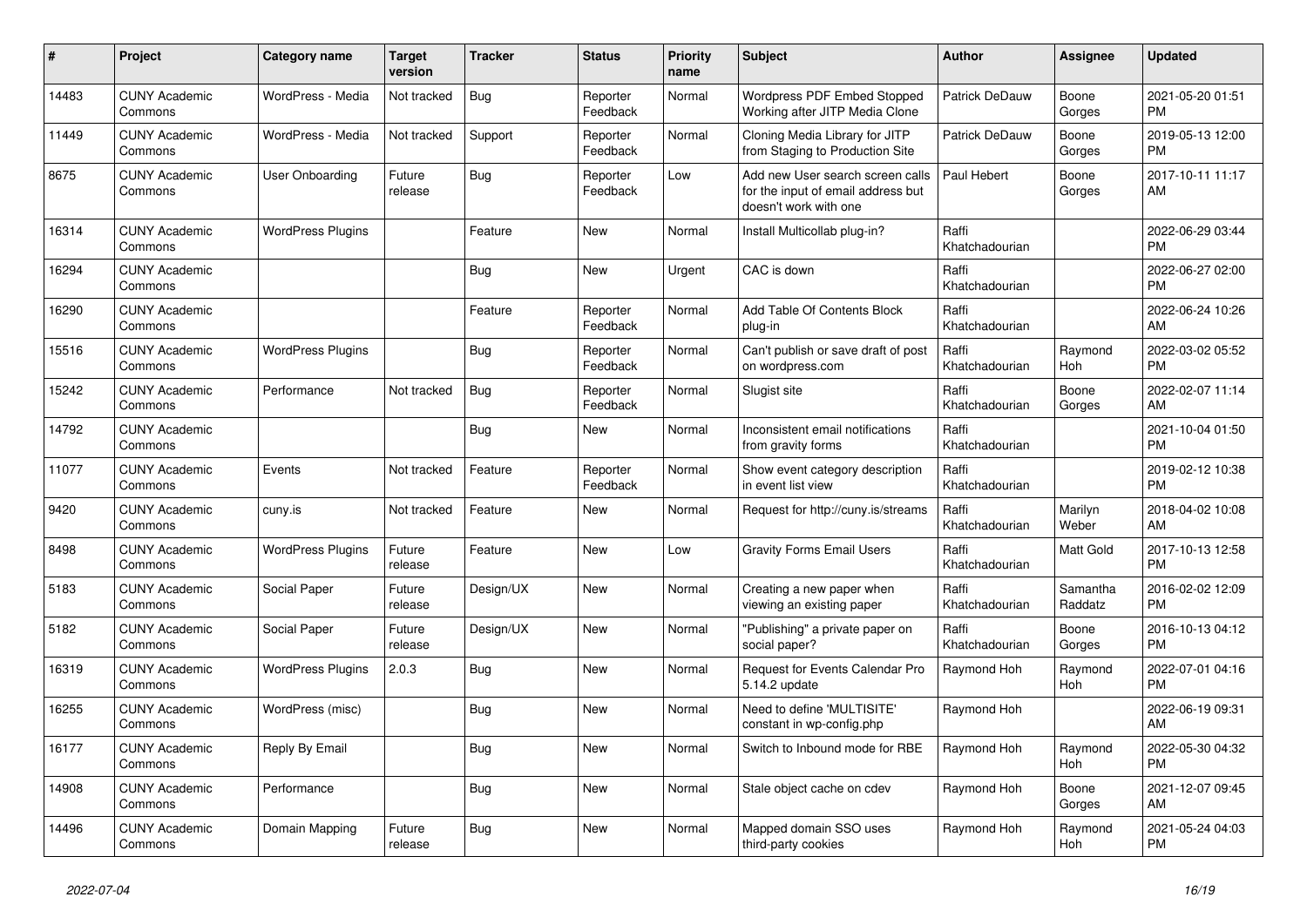| $\pmb{\sharp}$ | <b>Project</b>                  | Category name            | <b>Target</b><br>version | <b>Tracker</b> | <b>Status</b>        | <b>Priority</b><br>name | <b>Subject</b>                                                                                  | <b>Author</b>           | Assignee            | <b>Updated</b>                |
|----------------|---------------------------------|--------------------------|--------------------------|----------------|----------------------|-------------------------|-------------------------------------------------------------------------------------------------|-------------------------|---------------------|-------------------------------|
| 14483          | <b>CUNY Academic</b><br>Commons | WordPress - Media        | Not tracked              | <b>Bug</b>     | Reporter<br>Feedback | Normal                  | Wordpress PDF Embed Stopped<br>Working after JITP Media Clone                                   | Patrick DeDauw          | Boone<br>Gorges     | 2021-05-20 01:51<br><b>PM</b> |
| 11449          | <b>CUNY Academic</b><br>Commons | WordPress - Media        | Not tracked              | Support        | Reporter<br>Feedback | Normal                  | Cloning Media Library for JITP<br>from Staging to Production Site                               | Patrick DeDauw          | Boone<br>Gorges     | 2019-05-13 12:00<br><b>PM</b> |
| 8675           | <b>CUNY Academic</b><br>Commons | User Onboarding          | Future<br>release        | <b>Bug</b>     | Reporter<br>Feedback | Low                     | Add new User search screen calls<br>for the input of email address but<br>doesn't work with one | Paul Hebert             | Boone<br>Gorges     | 2017-10-11 11:17<br>AM        |
| 16314          | <b>CUNY Academic</b><br>Commons | <b>WordPress Plugins</b> |                          | Feature        | <b>New</b>           | Normal                  | Install Multicollab plug-in?                                                                    | Raffi<br>Khatchadourian |                     | 2022-06-29 03:44<br><b>PM</b> |
| 16294          | <b>CUNY Academic</b><br>Commons |                          |                          | Bug            | New                  | Urgent                  | CAC is down                                                                                     | Raffi<br>Khatchadourian |                     | 2022-06-27 02:00<br><b>PM</b> |
| 16290          | <b>CUNY Academic</b><br>Commons |                          |                          | Feature        | Reporter<br>Feedback | Normal                  | Add Table Of Contents Block<br>plug-in                                                          | Raffi<br>Khatchadourian |                     | 2022-06-24 10:26<br>AM        |
| 15516          | <b>CUNY Academic</b><br>Commons | <b>WordPress Plugins</b> |                          | <b>Bug</b>     | Reporter<br>Feedback | Normal                  | Can't publish or save draft of post<br>on wordpress.com                                         | Raffi<br>Khatchadourian | Raymond<br>Hoh      | 2022-03-02 05:52<br><b>PM</b> |
| 15242          | <b>CUNY Academic</b><br>Commons | Performance              | Not tracked              | Bug            | Reporter<br>Feedback | Normal                  | Slugist site                                                                                    | Raffi<br>Khatchadourian | Boone<br>Gorges     | 2022-02-07 11:14<br>AM        |
| 14792          | <b>CUNY Academic</b><br>Commons |                          |                          | Bug            | New                  | Normal                  | Inconsistent email notifications<br>from gravity forms                                          | Raffi<br>Khatchadourian |                     | 2021-10-04 01:50<br><b>PM</b> |
| 11077          | <b>CUNY Academic</b><br>Commons | Events                   | Not tracked              | Feature        | Reporter<br>Feedback | Normal                  | Show event category description<br>in event list view                                           | Raffi<br>Khatchadourian |                     | 2019-02-12 10:38<br><b>PM</b> |
| 9420           | <b>CUNY Academic</b><br>Commons | cuny.is                  | Not tracked              | Feature        | New                  | Normal                  | Request for http://cuny.is/streams                                                              | Raffi<br>Khatchadourian | Marilyn<br>Weber    | 2018-04-02 10:08<br>AM        |
| 8498           | <b>CUNY Academic</b><br>Commons | <b>WordPress Plugins</b> | Future<br>release        | Feature        | New                  | Low                     | <b>Gravity Forms Email Users</b>                                                                | Raffi<br>Khatchadourian | Matt Gold           | 2017-10-13 12:58<br><b>PM</b> |
| 5183           | <b>CUNY Academic</b><br>Commons | Social Paper             | Future<br>release        | Design/UX      | <b>New</b>           | Normal                  | Creating a new paper when<br>viewing an existing paper                                          | Raffi<br>Khatchadourian | Samantha<br>Raddatz | 2016-02-02 12:09<br><b>PM</b> |
| 5182           | <b>CUNY Academic</b><br>Commons | Social Paper             | Future<br>release        | Design/UX      | New                  | Normal                  | "Publishing" a private paper on<br>social paper?                                                | Raffi<br>Khatchadourian | Boone<br>Gorges     | 2016-10-13 04:12<br><b>PM</b> |
| 16319          | <b>CUNY Academic</b><br>Commons | <b>WordPress Plugins</b> | 2.0.3                    | Bug            | New                  | Normal                  | Request for Events Calendar Pro<br>5.14.2 update                                                | Raymond Hoh             | Raymond<br>Hoh      | 2022-07-01 04:16<br><b>PM</b> |
| 16255          | <b>CUNY Academic</b><br>Commons | WordPress (misc)         |                          | <b>Bug</b>     | <b>New</b>           | Normal                  | Need to define 'MULTISITE'<br>constant in wp-config.php                                         | Raymond Hoh             |                     | 2022-06-19 09:31<br>AM        |
| 16177          | <b>CUNY Academic</b><br>Commons | Reply By Email           |                          | Bug            | <b>New</b>           | Normal                  | Switch to Inbound mode for RBE                                                                  | Raymond Hoh             | Raymond<br>Hoh      | 2022-05-30 04:32<br><b>PM</b> |
| 14908          | <b>CUNY Academic</b><br>Commons | Performance              |                          | Bug            | New                  | Normal                  | Stale object cache on cdev                                                                      | Raymond Hoh             | Boone<br>Gorges     | 2021-12-07 09:45<br>AM        |
| 14496          | <b>CUNY Academic</b><br>Commons | Domain Mapping           | Future<br>release        | <b>Bug</b>     | <b>New</b>           | Normal                  | Mapped domain SSO uses<br>third-party cookies                                                   | Raymond Hoh             | Raymond<br>Hoh      | 2021-05-24 04:03<br><b>PM</b> |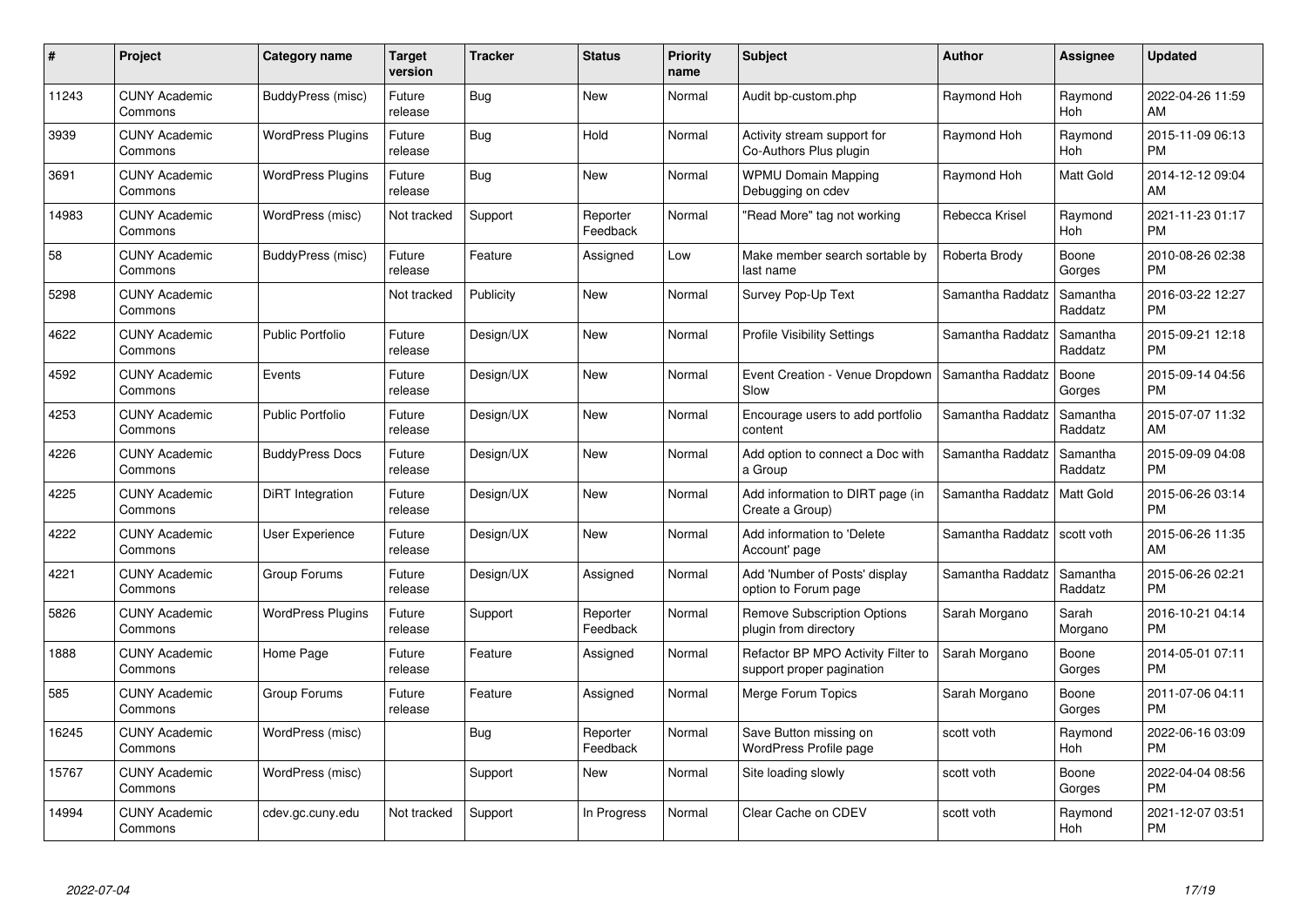| #     | <b>Project</b>                  | Category name            | Target<br>version | <b>Tracker</b> | <b>Status</b>        | <b>Priority</b><br>name | <b>Subject</b>                                                  | <b>Author</b>    | Assignee            | <b>Updated</b>                |
|-------|---------------------------------|--------------------------|-------------------|----------------|----------------------|-------------------------|-----------------------------------------------------------------|------------------|---------------------|-------------------------------|
| 11243 | <b>CUNY Academic</b><br>Commons | BuddyPress (misc)        | Future<br>release | <b>Bug</b>     | <b>New</b>           | Normal                  | Audit bp-custom.php                                             | Raymond Hoh      | Raymond<br>Hoh      | 2022-04-26 11:59<br>AM        |
| 3939  | <b>CUNY Academic</b><br>Commons | <b>WordPress Plugins</b> | Future<br>release | Bug            | Hold                 | Normal                  | Activity stream support for<br>Co-Authors Plus plugin           | Raymond Hoh      | Raymond<br>Hoh      | 2015-11-09 06:13<br><b>PM</b> |
| 3691  | <b>CUNY Academic</b><br>Commons | <b>WordPress Plugins</b> | Future<br>release | Bug            | <b>New</b>           | Normal                  | <b>WPMU Domain Mapping</b><br>Debugging on cdev                 | Raymond Hoh      | Matt Gold           | 2014-12-12 09:04<br><b>AM</b> |
| 14983 | <b>CUNY Academic</b><br>Commons | WordPress (misc)         | Not tracked       | Support        | Reporter<br>Feedback | Normal                  | "Read More" tag not working                                     | Rebecca Krisel   | Raymond<br>Hoh      | 2021-11-23 01:17<br><b>PM</b> |
| 58    | <b>CUNY Academic</b><br>Commons | BuddyPress (misc)        | Future<br>release | Feature        | Assigned             | Low                     | Make member search sortable by<br>last name                     | Roberta Brody    | Boone<br>Gorges     | 2010-08-26 02:38<br><b>PM</b> |
| 5298  | <b>CUNY Academic</b><br>Commons |                          | Not tracked       | Publicity      | <b>New</b>           | Normal                  | Survey Pop-Up Text                                              | Samantha Raddatz | Samantha<br>Raddatz | 2016-03-22 12:27<br><b>PM</b> |
| 4622  | <b>CUNY Academic</b><br>Commons | Public Portfolio         | Future<br>release | Design/UX      | New                  | Normal                  | <b>Profile Visibility Settings</b>                              | Samantha Raddatz | Samantha<br>Raddatz | 2015-09-21 12:18<br><b>PM</b> |
| 4592  | <b>CUNY Academic</b><br>Commons | Events                   | Future<br>release | Design/UX      | <b>New</b>           | Normal                  | Event Creation - Venue Dropdown<br>Slow                         | Samantha Raddatz | Boone<br>Gorges     | 2015-09-14 04:56<br><b>PM</b> |
| 4253  | <b>CUNY Academic</b><br>Commons | <b>Public Portfolio</b>  | Future<br>release | Design/UX      | <b>New</b>           | Normal                  | Encourage users to add portfolio<br>content                     | Samantha Raddatz | Samantha<br>Raddatz | 2015-07-07 11:32<br>AM        |
| 4226  | <b>CUNY Academic</b><br>Commons | <b>BuddyPress Docs</b>   | Future<br>release | Design/UX      | <b>New</b>           | Normal                  | Add option to connect a Doc with<br>a Group                     | Samantha Raddatz | Samantha<br>Raddatz | 2015-09-09 04:08<br><b>PM</b> |
| 4225  | <b>CUNY Academic</b><br>Commons | DiRT Integration         | Future<br>release | Design/UX      | New                  | Normal                  | Add information to DIRT page (in<br>Create a Group)             | Samantha Raddatz | Matt Gold           | 2015-06-26 03:14<br><b>PM</b> |
| 4222  | <b>CUNY Academic</b><br>Commons | <b>User Experience</b>   | Future<br>release | Design/UX      | <b>New</b>           | Normal                  | Add information to 'Delete<br>Account' page                     | Samantha Raddatz | scott voth          | 2015-06-26 11:35<br>AM        |
| 4221  | <b>CUNY Academic</b><br>Commons | Group Forums             | Future<br>release | Design/UX      | Assigned             | Normal                  | Add 'Number of Posts' display<br>option to Forum page           | Samantha Raddatz | Samantha<br>Raddatz | 2015-06-26 02:21<br><b>PM</b> |
| 5826  | <b>CUNY Academic</b><br>Commons | <b>WordPress Plugins</b> | Future<br>release | Support        | Reporter<br>Feedback | Normal                  | <b>Remove Subscription Options</b><br>plugin from directory     | Sarah Morgano    | Sarah<br>Morgano    | 2016-10-21 04:14<br>PM.       |
| 1888  | <b>CUNY Academic</b><br>Commons | Home Page                | Future<br>release | Feature        | Assigned             | Normal                  | Refactor BP MPO Activity Filter to<br>support proper pagination | Sarah Morgano    | Boone<br>Gorges     | 2014-05-01 07:11<br><b>PM</b> |
| 585   | <b>CUNY Academic</b><br>Commons | Group Forums             | Future<br>release | Feature        | Assigned             | Normal                  | Merge Forum Topics                                              | Sarah Morgano    | Boone<br>Gorges     | 2011-07-06 04:11<br><b>PM</b> |
| 16245 | <b>CUNY Academic</b><br>Commons | WordPress (misc)         |                   | Bug            | Reporter<br>Feedback | Normal                  | Save Button missing on<br>WordPress Profile page                | scott voth       | Raymond<br>Hoh      | 2022-06-16 03:09<br><b>PM</b> |
| 15767 | <b>CUNY Academic</b><br>Commons | WordPress (misc)         |                   | Support        | New                  | Normal                  | Site loading slowly                                             | scott voth       | Boone<br>Gorges     | 2022-04-04 08:56<br><b>PM</b> |
| 14994 | <b>CUNY Academic</b><br>Commons | cdev.gc.cuny.edu         | Not tracked       | Support        | In Progress          | Normal                  | Clear Cache on CDEV                                             | scott voth       | Raymond<br>Hoh      | 2021-12-07 03:51<br>PM        |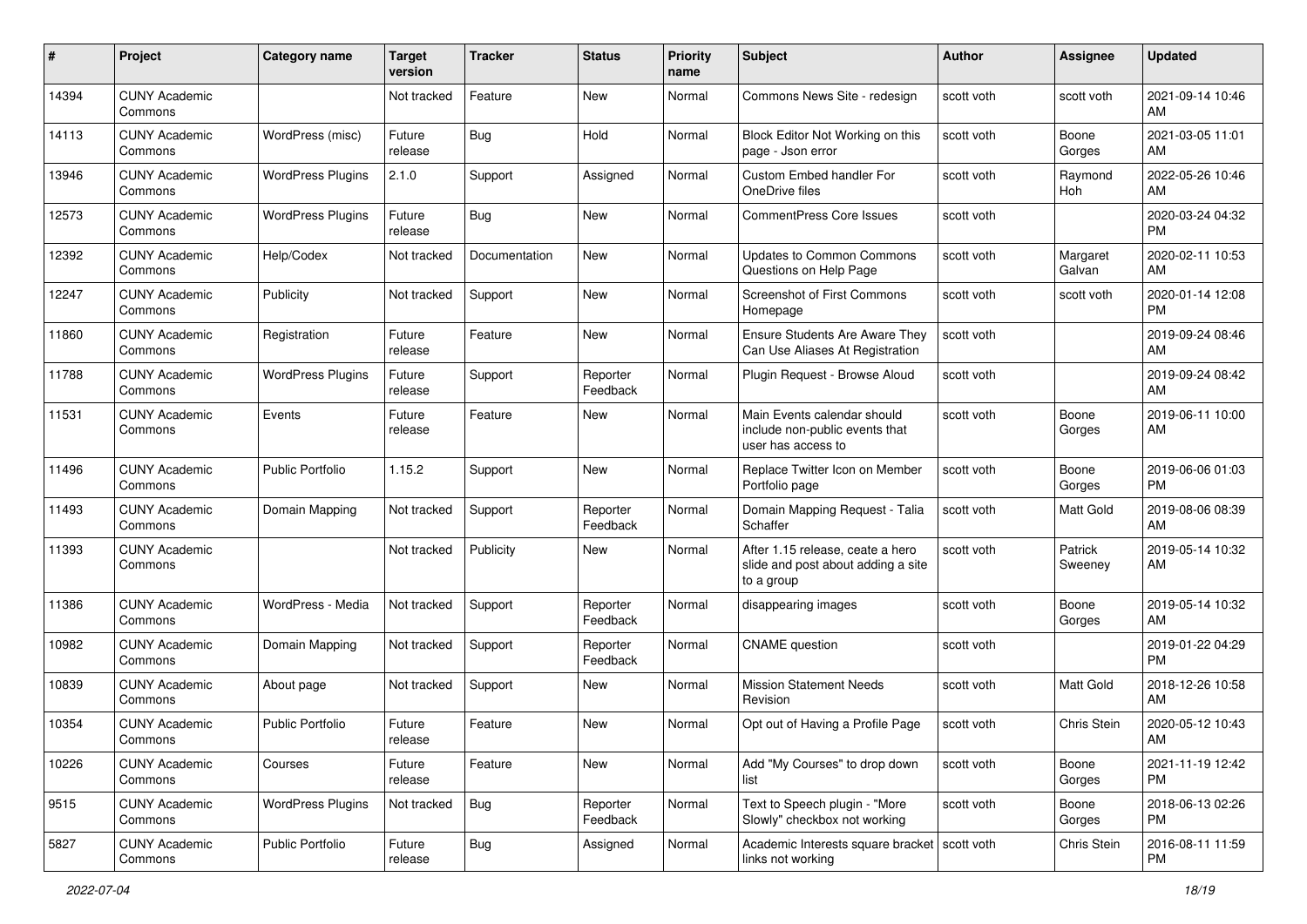| #     | Project                         | <b>Category name</b>     | <b>Target</b><br>version | <b>Tracker</b> | <b>Status</b>        | Priority<br>name | <b>Subject</b>                                                                       | Author     | <b>Assignee</b>    | <b>Updated</b>                |
|-------|---------------------------------|--------------------------|--------------------------|----------------|----------------------|------------------|--------------------------------------------------------------------------------------|------------|--------------------|-------------------------------|
| 14394 | <b>CUNY Academic</b><br>Commons |                          | Not tracked              | Feature        | <b>New</b>           | Normal           | Commons News Site - redesign                                                         | scott voth | scott voth         | 2021-09-14 10:46<br>AM        |
| 14113 | <b>CUNY Academic</b><br>Commons | WordPress (misc)         | Future<br>release        | Bug            | Hold                 | Normal           | Block Editor Not Working on this<br>page - Json error                                | scott voth | Boone<br>Gorges    | 2021-03-05 11:01<br>AM        |
| 13946 | <b>CUNY Academic</b><br>Commons | <b>WordPress Plugins</b> | 2.1.0                    | Support        | Assigned             | Normal           | Custom Embed handler For<br>OneDrive files                                           | scott voth | Raymond<br>Hoh     | 2022-05-26 10:46<br>AM        |
| 12573 | <b>CUNY Academic</b><br>Commons | <b>WordPress Plugins</b> | Future<br>release        | Bug            | <b>New</b>           | Normal           | <b>CommentPress Core Issues</b>                                                      | scott voth |                    | 2020-03-24 04:32<br><b>PM</b> |
| 12392 | <b>CUNY Academic</b><br>Commons | Help/Codex               | Not tracked              | Documentation  | <b>New</b>           | Normal           | <b>Updates to Common Commons</b><br>Questions on Help Page                           | scott voth | Margaret<br>Galvan | 2020-02-11 10:53<br>AM        |
| 12247 | <b>CUNY Academic</b><br>Commons | Publicity                | Not tracked              | Support        | New                  | Normal           | Screenshot of First Commons<br>Homepage                                              | scott voth | scott voth         | 2020-01-14 12:08<br><b>PM</b> |
| 11860 | <b>CUNY Academic</b><br>Commons | Registration             | Future<br>release        | Feature        | New                  | Normal           | Ensure Students Are Aware They<br>Can Use Aliases At Registration                    | scott voth |                    | 2019-09-24 08:46<br>AM        |
| 11788 | <b>CUNY Academic</b><br>Commons | <b>WordPress Plugins</b> | Future<br>release        | Support        | Reporter<br>Feedback | Normal           | Plugin Request - Browse Aloud                                                        | scott voth |                    | 2019-09-24 08:42<br>AM        |
| 11531 | <b>CUNY Academic</b><br>Commons | Events                   | Future<br>release        | Feature        | New                  | Normal           | Main Events calendar should<br>include non-public events that<br>user has access to  | scott voth | Boone<br>Gorges    | 2019-06-11 10:00<br>AM        |
| 11496 | <b>CUNY Academic</b><br>Commons | <b>Public Portfolio</b>  | 1.15.2                   | Support        | New                  | Normal           | Replace Twitter Icon on Member<br>Portfolio page                                     | scott voth | Boone<br>Gorges    | 2019-06-06 01:03<br><b>PM</b> |
| 11493 | <b>CUNY Academic</b><br>Commons | Domain Mapping           | Not tracked              | Support        | Reporter<br>Feedback | Normal           | Domain Mapping Request - Talia<br>Schaffer                                           | scott voth | Matt Gold          | 2019-08-06 08:39<br>AM        |
| 11393 | <b>CUNY Academic</b><br>Commons |                          | Not tracked              | Publicity      | New                  | Normal           | After 1.15 release, ceate a hero<br>slide and post about adding a site<br>to a group | scott voth | Patrick<br>Sweeney | 2019-05-14 10:32<br>AM        |
| 11386 | <b>CUNY Academic</b><br>Commons | WordPress - Media        | Not tracked              | Support        | Reporter<br>Feedback | Normal           | disappearing images                                                                  | scott voth | Boone<br>Gorges    | 2019-05-14 10:32<br>AM        |
| 10982 | <b>CUNY Academic</b><br>Commons | Domain Mapping           | Not tracked              | Support        | Reporter<br>Feedback | Normal           | <b>CNAME</b> question                                                                | scott voth |                    | 2019-01-22 04:29<br><b>PM</b> |
| 10839 | <b>CUNY Academic</b><br>Commons | About page               | Not tracked              | Support        | New                  | Normal           | <b>Mission Statement Needs</b><br>Revision                                           | scott voth | Matt Gold          | 2018-12-26 10:58<br>AM        |
| 10354 | <b>CUNY Academic</b><br>Commons | <b>Public Portfolio</b>  | Future<br>release        | Feature        | New                  | Normal           | Opt out of Having a Profile Page                                                     | scott voth | Chris Stein        | 2020-05-12 10:43<br>AM        |
| 10226 | <b>CUNY Academic</b><br>Commons | Courses                  | Future<br>release        | Feature        | New                  | Normal           | Add "My Courses" to drop down<br>list                                                | scott voth | Boone<br>Gorges    | 2021-11-19 12:42<br>PM        |
| 9515  | <b>CUNY Academic</b><br>Commons | <b>WordPress Plugins</b> | Not tracked              | <b>Bug</b>     | Reporter<br>Feedback | Normal           | Text to Speech plugin - "More<br>Slowly" checkbox not working                        | scott voth | Boone<br>Gorges    | 2018-06-13 02:26<br><b>PM</b> |
| 5827  | <b>CUNY Academic</b><br>Commons | Public Portfolio         | Future<br>release        | <b>Bug</b>     | Assigned             | Normal           | Academic Interests square bracket   scott voth<br>links not working                  |            | Chris Stein        | 2016-08-11 11:59<br><b>PM</b> |